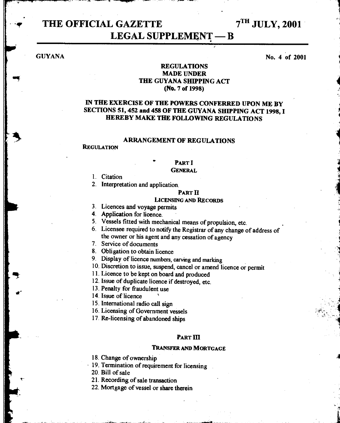# **THE OFFICIAL GAZETTE**  $7^{TH}$  JULY, 2001 **LEGAL SUPPLEMENT - B**

**GUYANA** 

**No. 4 of 2001** 

### **REGULATIONS MADE UNDER THE GUYANA SHIPPING ACT (No. 7 of 1998)**

# **IN THE EXERCISE OF THE POWERS CONFERRED UPON ME BY SECTIONS 51, 452 and 458 OF THE GUYANA SHIPPING ACT 1998, I HEREBY MAKE THE FOLLOWING REGULATIONS**

# **ARRANGEMENT OF REGULATIONS**

#### **REGULATION**

# **PART I**

#### **GENERAL**

1. Citation

2. Interpretation and application.

#### **PART** n

#### **LICENSING AND RECORDS**

3. Licences and voyage permits

**4. Application for** licence.

5. Vessels fitted with mechanical means of propulsion, etc.

6. Licensee required to notify the Registrar of any change of address of the owner or his agent and any cessation of agency

7. Service of documents

8. Obligation to obtain licence

9. Display of licence numbers, carving and marking

10. Discretion to issue, suspend, cancel or amend licence or permit

11. Licence to be kept on board and produced

12. Issue of duplicate licence if destroyed, etc.

13. Penalty for fraudulent use

14. Issue of licence

15. International radio call sign

16. Licensing of Government vessels

17. Re-licensing of abandoned ships

#### **PART III**

#### **TRANSFER AND MORTGAGE**

18. Change of ownership

19. Termination of requirement for licensing

20. Bill of sale

21. Recording of sale transaction

22. Mortgage of vessel or share therein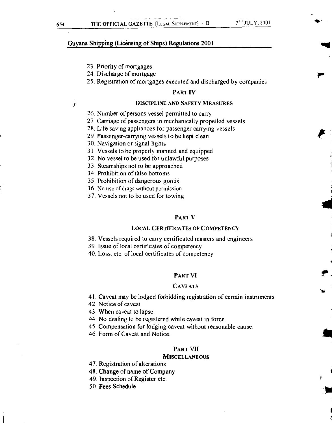r

#### Guyana Shipping (Licensing of Ships) Regulations 2001

- 23. Priority of mortgages
- 24. Discharge of mortgage
- 25. Registration of mortgages executed and discharged by companies

#### PART IV

#### DISCIPLINE AND SAFETY MEASURES

- 26. Number of persons vessel permitted to carry
- 27. Carriage of passengers in mechanically propelled vessels
- 28. Life saving appliances for passenger carrying vessels
- 29. Passenger-carrying vessels to be kept clean
- 30. Navigation or signal lights
- 31. Vessels to be properly manned and equipped
- 32. No vessel to be used for unlawful. purposes
- 33. Steamships not to be approached
- 34. Prohibition of false bottoms
- 35. Prohibition of dangerous goods
- 36 No use of drags without permission.
- 37. Vessels not to be used for towing

#### PART V

#### LOCAL CERTIFICATES OF COMPETENCY

38. Vessels required to carry certificated masters and engineers

39. Issue of local certificates of competency

40. Loss, etc. of local certificates of competency

#### PART VI

#### **CAVEATS**

41. Caveat may be lodged forbidding registration of certain instruments.

- 42. Notice of caveat.
- 43. When caveat to lapse.
- 44. No dealing to be registered while caveat in force.
- 45. Compensation for lodging caveat without reasonable cause.
- 46. Form of Caveat and Notice.

#### PART VII

#### **MISCELLANEOUS**

- 47. Registration of alterations
- 48. Change of name of Company
- 49. Inspection of Register etc.
- 50. Fees Schedule

 $\prime$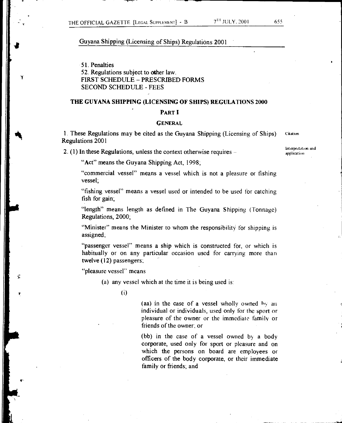1

#### Guyana Shipping (Licensing of Ships) Regulations 2001

51. Penalties 52. Regulations subject to other law. FIRST SCHEDULE - PRESCRIBED FORMS SECOND SCHEDULE-FEES

#### **THE GUYANA SHIPPING (LICENSING OF SHIPS) REGULATIONS 2000**

#### **PART I**

#### **GENERAL**

1. These Regulations may be cited as the Guyana Shipping (Licensing of Ships) Regulations 2001

**2. (1)** In these Regulations, unless the context otherwise requires -

Interpretation and application

**Citation** 

"Act" means the Guyana Shipping Act, 1998;

"commercial vessel" means a vessel which is not a pleasure or fishing vessel;

"fishing vessel" means a vessel used or intended to be used for catching fish for gain;

"length" means length as defined in The Guyana Shipping (Tonnage) Regulations, 2000;

"Minister" means the Minister to whom the responsibility for shipping is assigned;

"passenger vessel" means a ship which is constructed for, or which is habitually or on any particular occasion used for carrying more than twelve (12) passengers;

"pleasure vessel" means

(a) any vessel which at the time it is being used is:

(i)

(aa) in the case of a vessel wholly owned hv an individual or individuals, used only for the sport or pleasure of the owner or the immediate family or friends of the owner; or

(bb) in the case of a vessel owned by a body corporate, used only for sport or pleasure and on which the persons on board are employees or officers of the body corporate, or their immediate family or friends; and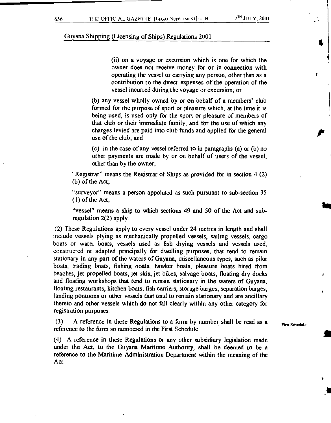(ii) on a voyage or excursion which is one for which the owner does not receive money for or in connection with operating the vessel or carrying any person, other than as a contribution to the direct expenses of the operation of the vessel incurred during the voyage or excursion; or

(b) any vessel wholly owned by or on behalf of a members' club formed for the purpose of sport or pleasure which, at the time it is being used, is used only for the sport or pleasure of members of that club or their immediate family, and for the use of which any charges levied are paid into club funds and applied for the general use of the club; and

(c) in the case of any vessel referred to in paragraphs (a) or (b) no other payments are made by or on behalf of users of the vessel, other than by the owner;

"Registrar" means the Registrar of Ships as provided for in section 4 (2) (b) of the Act;

"surveyor" means a person appointed as such pursuant to sub-section 35 (1) of the Act;

"vessel" means a ship to which sections 49 and 50 of the Act and subregulation 2(2) apply.

(2) These Regulations apply to every vessel under 24 metres in length and shall include vessels plying as mechanically propelled vessels, sailing vessels, cargo boats or water boats, vessels used as fish drying vessels and vessels used, constructed or adapted principally for dwelling purposes, that tend to remain stationary in any part of the waters of Guyana, miscellaneous types, such as pilot boats, trading boats, fishing boats, hawker boats, pleasure boats hired from beaches, jet propelled boats, jet skis, jet bikes, salvage boats, floating dry docks and floating workshops that tend to remain stationary in the waters of Guyana, floating restaurants, kitchen boats, fish carriers, storage barges, separation barges, landing pontoons or other vessels that tend to remain stationary and are ancillary thereto and other vessels which do not fall clearly within any other category for registration purposes.

(3) A reference in these Regulations to a form by number shall be read as a reference to the form so numbered in the First Schedule.

(4) A reference in these Regulations or any other subsidiary legislation made under the Act, to the Guyana Maritime Authority, shall be deemed to be a reference to the Maritime Administration Department within the meaning of the Act.

First Sd,edule

₹

 $\mathbf{r}$ 

Y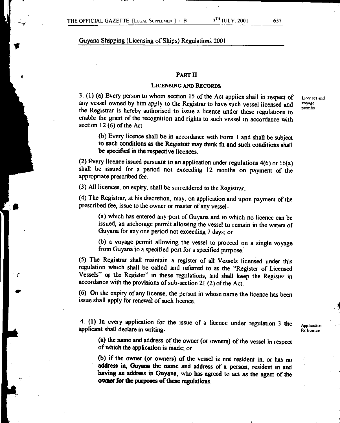#### **PART II**

#### **LICENSING AND RECORDS**

3. (1) (a) Every person to whom section 15 of the Act applies shall in respect of any vessel owned by him apply to the Registrar to have such vessel licensed and the Registrar is hereby authorised to issue a licence under these regulations to enable the grant of the recognition and rights to such vessel in accordance with section 12 (6) of the Act.

Licences and voyage permits

(b) Every licence shall be in accordance with Form 1 and shall be subject **to such conditions as the Registrar may think fit and such conditions shall be specified in the respective licences.** 

**(2) Every licence issued pursuant to an application under regulations 4(6)** or 16(a) shall be issued for a period not exceeding 12 months on payment of the appropriate prescribed fee.

(3) All licences, on expiry, shall be surrendered to the Registrar.

(4) The Registrar, at his discretion, may, on application and upon payment of the prescribed fee, issue to the owner or master of any vessel-

(a) which has entered any port of Guyana and to which no licence can be issued, an anchorage permit allowing the vessel to remain in the waters of Guyana for any one period not exceeding 7 days; or

(b) a voyage permit allowing the vessel to proceed on a single voyage from Guyana to a specified port for a specified purpose.

(5) The Registrar shall maintain a register of all Vessels licensed under this regulation which shall be called and referred to as the "Register of Licensed Vessels" or the Register" in these regulations, and shall keep the Register in accordance with the provisions of sub-section 21 (2) of the Act.

(6) On the expiry of any license, the person in whose name the licence has been issue shall apply for renewal of such licence.

4. (1) In every application for the issue of a licence under regulation 3 the applicant shall declare in writing-

**Application** for licence

**(a) the name and address of the owner (or owners) of the vessel in respect of which the application is made; or** 

**(b) if the owner (or owners) of the vessel is not resident in, or has no address in, Guyana the name and address of a person, resident in and having an address in Guyana, who has agreed to act as the agent of the owner for the purposes of these regulations.**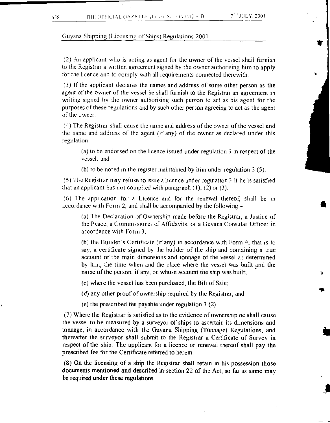**a** 

### Guyana Shipping (Licensing of Ships) Regulations 2001

(2) An applicant who is acting as agent for the owner of the vessel shall furnish to the Registrar a written agreement signed by the owner authorising him to apply for the licence and to comply with all requirements connected therewith.

(3) If the applicant declares the names and address of some other person as the agent of the owner of the vessel he shall furnish to the Registrar an agreement in writing signed by the owner authorising such person to act as his agent for the purposes of these regulations and by such other person agreeing to act as the agent of the owner

(4) The Registrar shall cause the name and address of the owner of the vessel and the name and address of the agent (if any) of the owner as declared under this regulation-

(a) to be endorsed on the licence issued under regulation 3 in respect of the vessel; and

(b) to be noted in the register maintained by him under regulation 3 (5).

(5) The Registrar may refuse to issue a licence under regulation 3 if he is satisfied that an applicant has not complied with paragraph  $(1)$ ,  $(2)$  or  $(3)$ .

(6) The application for a Licence and for the renewal thereof, shall be in accordance with Form 2, and shall be accompanied by the following—

(a) The Declaration of Ownership made before the Registrar, a Justice of the Peace, a Commissioner of Affidavits, or a Guyana Consular Officer in accordance with Form 3,

(b) the Builder's Certificate (if any) in accordance with Form 4, that is to say, a certificate signed by the builder of the ship and containing a true account of the main dimensions and tonnage of the vessel as determined by him, the time when and the place where the vessel was built and the name of the person, if any, on whose account the ship was built;

(c) where the vessel has been purchased, the Bill of Sale;

(d) any other proof of ownership required by the Registrar; and

(e) the prescribed fee payable under regulation 3 (2).

(7) Where the Registrar is satisfied as to the evidence of ownership he shall cause the vessel to be measured by a surveyor of ships to ascertain its dimensions and tonnage, in accordance with the Guyana Shipping (Tonnage) Regulations, and thereafter the surveyor shall submit to the Registrar a Certificate of Survey in respect of the ship. The applicant for a licence or renewal thereof shall pay the prescribed fee for the Certificate referred to herein.

(8) On the licensing of a ship the Registrar shall retain in his possession those documents mentioned and described in section 22 of the Act, so far as same may be required under these regulations.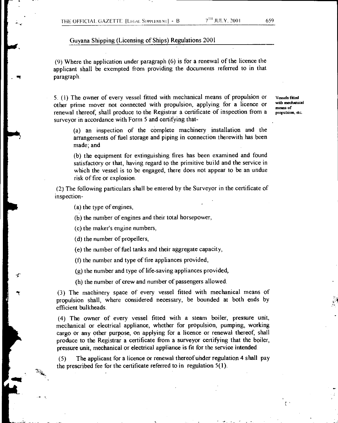(9) Where the application under paragraph (6) is for a renewal of the licence the applicant shall be exempted from providing the documents referred to in that paragraph.

5. ( I) The owner of every vessel fitted with mechanical means of propulsion or other prime mover not connected with propulsion, applying for a licence or renewal thereof, shall produce to the Registrar a certificate of inspection from a surveyor in accordance with Form 5 and certifying that-

**Vessels fitted with mechanical means of propulsion, etc.** 

(a) an inspection of the complete machinery installation and the arrangements of fuel storage and piping in connection therewith has been made; and

(b) the equipment for extinguishing fires has been examined and found satisfactory or that, having regard to the primitive build and the service in which the vessel is to be engaged, there does not appear to be an undue risk of fire or explosion.

(2) The following particulars shall be entered by the Surveyor in the certificate of inspection-

(a) the type of engines,

 $\tilde{\tau}$ 

(b) the number of engines and their total horsepower,

(c) the maker's engine numbers,

(d) the number of propellers,

(e) the number of fuel tanks and their aggregate capacity,

(f) the number and type of fire appliances provided,

(g) the number and type of life-saving appliances provided,

(h) the number of crew and number of passengers allowed.

(3) The machinery space of every vessel fitted with mechanical means of propulsion shall, where considered necessary, be bounded at both ends by efficient bulkheads.

(4) The owner of every vessel fitted with a steam boiler, pressure unit, mechanical or electrical appliance, whether for propulsion, pumping, working cargo or any other purpose, on applying for a licence or renewal thereof, shall produce to the Registrar a certificate from a surveyor certifying that the boiler, pressure unit, mechanical or electrical appliance is fit for the service intended.

(5) The applicant for a licence or renewal thereof uhder regulation 4 shall pay the prescribed fee for the certificate referred to in regulation 5(1).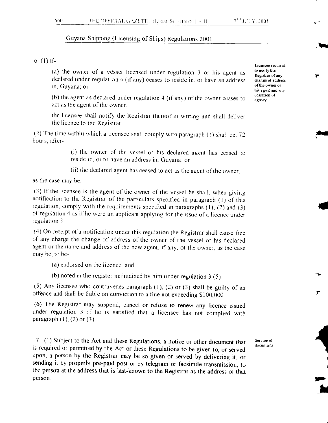#### $6.$  (1) If-

(a) the owner of a vessel licensed under regulation 3 or his agent as declared under regulation 4 (if any) ceases to reside in, or have an address in, Guyana; or

(b) the agent as declared under regulation 4 (if any) of the owner ceases to act as the agent of the owner,

the licensee shall notify the Registrar thereof in writing and shall deliver the licence to the Registrar

(2) The time within which a licensee shall comply with paragraph  $(1)$  shall be, 72 hours, after-

> (i) the owner of the vessel or his declared agent has ceased to reside in, or to have an address in, Guyana: or

(ii) the declared agent has ceased to act as the agent of the owner.

as the case may be

(3) If the licensee is the agent of the owner of the vessel he shall, when giving notification to the Registrar of the particulars specified in paragraph (I) of this regulation, comply with the requirements specified in paragraphs (I), (2) and (3) of regulation 4 as if he were an applicant applying for the issue of a licence under regulation 3

(4) On receipt of a notification under this regulation the Registrar shall cause free of any charge the change of address of the owner of the vessel or his declared agent or the name and address of the new agent, if any, of the owner, as the case may be, to be-

(a) endorsed on the licence: and

(b) noted in the register maintained by him under regulation 3 (5)

(5) Any licensee who contravenes paragraph (I), (2) or (3) shall be guilty of an offence and shall be liable on conviction to a fine not exceeding \$100,000

(6) The Registrar may suspend, cancel or refuse to renew any licence issued under regulation 3 if he is satisfied that a licensee has not complied with paragraph  $(1)$ ,  $(2)$  or  $(3)$ .

7. (1) Subject to the Act and these Regulations, a notice or other document that is required or permitted by the Act or these Regulations to be given to, or served upon, a person by the Registrar may be so given or served by delivering it, or sending it by properly pre-paid post or by telegram or facsimile transmission, to the person at the address that is last-known to the Registrar as the address of that person.

Service of documents

Licensee required to notify the Registrar of any change of address of the owner or his agent and any cessation or agency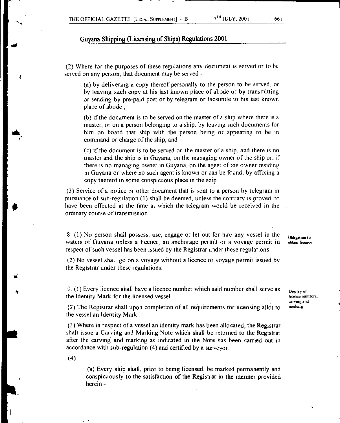(2) Where for the purposes of these regulations any document is served or to be served on any person, that document may be served -

(a) by delivering a copy thereof personally to the person to be served, or by leaving such copy at his last known place of abode or by transmitting or sending by pre-paid post or by telegram or facsimile to his last known place of abode ;

(b) if the document is to be served on the master of a ship where there is a master, or on a person belonging to a ship, by leaving such documents for him on board that ship with the person being or appearing to be in command or charge of the ship; and

(c) if the document is to be served on the master of a ship, and there is no master and the ship is in Guyana, on the managing owner of the ship or, if there is no managing owner in Guyana, on the agent of the owner residing in Guyana or where no such agent is known or can be found. by affixing a copy thereof in some conspicuous place in the ship

(3) Service of a notice or other document that is sent to a person by telegram in pursuance of sub-regulation (1) shall be deemed, unless the contrary is proved, to have been effected at the time at which the telegram would be received in the ordinary course of transmission.

8. (1) No person shall possess, use, engage or let out for hire any vessel in the waters of Guyana unless a licence, an anchorage permit or a voyage permit in respect of such vessel has been issued by the Registrar under these regulations

(2) No vessel shall go on a voyage without a licence or voyage permit issued by the Registrar under these regulations.

9. (1) Every licence shall have a licence number which said number shall serve as the Identity Mark for the licensed vessel.

(2) The Registrar shall upon completion of all requirements for licensing allot to the vessel an Identity Mark.

(3) Where in respect of a vessel an identity mark has been allocated, the Registrar shall issue a Carving and Marking Note which shall be returned to the Registrar after the carving and marking as indicated in the Note has been carried out in accordance with sub-regulation (4) and certified by a surveyor.

(4)

 $\mathbf{r}$ 

(a) Every ship shall, prior to being licensed, be marked permanently and conspicuously to the satisfaction of the Registrar in the manner provided herein -

Obligation to obtain licence

Display of licence numbers. carving and marking

 $\tau_{\rm s}$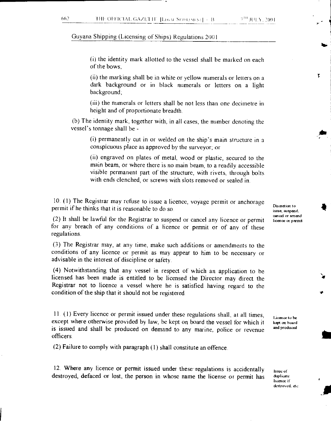(i) the identity mark allotted to the vessel shall be marked on each of the bows;

(ii) the marking shall be in white or yellow numerals or letters on a dark background or in black numerals or letters on a light background;

(iii) the numerals or letters shall be not less than one decimetre in height and of proportionate breadth

(b) The identity mark, together with, in all cases, the number denoting the vessel's tonnage shall be -

(i) permanently cut in or welded on the ship's main structure in a conspicuous place as approved by the surveyor; or

(ii) engraved on plates of metal, wood or plastic, secured to the main beam, or where there is no main beam, to a readily accessible visible permanent part of the structure, with rivets, through bolts with ends clenched, or screws with slots removed or sealed in.

10. (1) The Registrar may refuse to issue a licence, voyage permit or anchorage permit if he thinks that it is reasonable to do so.

(2) It shall be lawful for the Registrar to suspend or cancel any licence or permit for any breach of any conditions of a licence or permit or of any of these regulations.

(3) The Registrar may, at any time, make such additions or amendments to the conditions of any licence or permit as may appear to him to be necessary or advisable in the interest of discipline or safety.

(4) Notwithstanding that any vessel in respect of which an application to he licensed has been made is entitled to be licensed the Director may direct the Registrar not to licence a vessel where he is satisfied having regard to the condition of the ship that it should not be registered.

11 (1) Every licence or permit issued under these regulations shall, at all times, except where otherwise provided by law, be kept on board the vessel for which it is issued and shall be produced on demand to any marine, police or revenue officers.

(2) Failure to comply with paragraph (1) shall constitute an offence.

12. Where any licence or permit issued under these regulations is accidentally destroyed, defaced or lost, the person in whose name the license or permit has

Discretion to issue, suspend cancel or amend licence or permit 7

Licence to be kept on board and produced

Issue or duplicate licence it destroyed. dc

4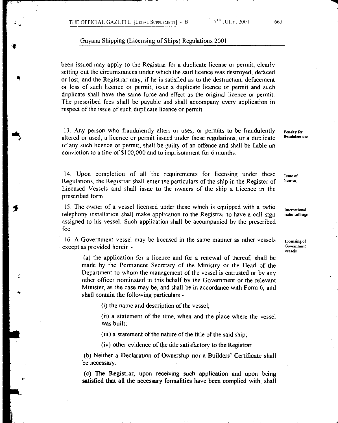been issued may apply to the Registrar for a duplicate license or permit, clearly setting out the circumstances under which the said licence was destroyed, defaced or lost, and the Registrar may, if he is satisfied as to the destruction, defacement or loss of such licence or permit, issue a duplicate licence or permit and such duplicate shall have the same force and effect as the original licence or permit. The prescribed fees shall be payable and shall accompany every application in respect of the issue of such duplicate licence or permit.

13 Any person who fraudulently alters or uses, or permits to be fraudulently altered or used, a licence or permit issued under these regulations, or a duplicate of any such licence or permit, shall be guilty of an offence and shall be liable on conviction to a fine of \$100,000 and to imprisonment for 6 months.

14. Upon completion of all the requirements for licensing under these Regulations, the Registrar shall enter the particulars of the ship in the Register of Licensed Vessels and shall issue to the owners of the ship a Licence in the prescribed form.

15. The owner of a vessel licensed under these which is equipped with a radio telephony installation shall make application to the Registrar to have a call sign assigned to his vessel. Such application shall be accompanied by the prescribed fee.

16. A Government vessel may be licensed in the same manner as other vessels except as provided herein -

(a) the application for a licence and for a renewal of thereof, shall be made by the Permanent Secretary of the Ministry or the Head of the Department to whom the management of the vessel is entrusted or by any other officer nominated in this behalf by the Government or the relevant Minister, as the case may be, and shall be in accordance with Form 6, and shall contain the following particulars -

(i) the name and description of the vessel;

(ii) a statement of the time, when and the place where the vessel was built;

(iii) a statement of the nature of the title of the said ship;

(iv) other evidence of the title satisfactory to the Registrar.

(b) Neither a Declaration of Ownership nor a Builders' Certificate shall be necessary.

(c) The Registrar, upon receiving such application and upon being satisfied that all the necessary formalities have been complied with, shall Panaky for fraudulent use

Issue of licence

International radio call sign

Licensing of **Government** vessels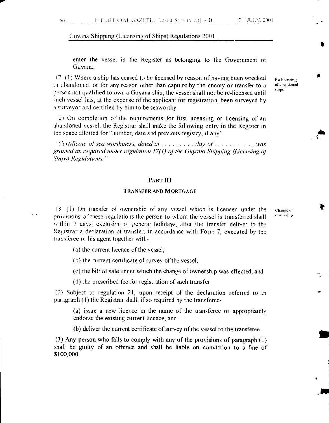enter the vessel in the Register as belonging to the Government of Guyana.

 $17.$  (1) Where a ship has ceased to be licensed by reason of having been wrecked or abandoned, or for any reason other than capture by the enemy or transfer to a person not qualified to own a Guyana ship, the vessel shall not be re-licensed until such vessel has, at the expense of the applicant for registration, been surveyed by a surveyor and certified by him to be seaworthy

(2) On completion of the requirements for first licensing or licensing of an abandoned vessel, the Registrar shall make the following entry in the Register in the space allotted for "number, date and previous registry, if any

*It'dertificate of sea worthiness, dated at ........ day of ............ was granted as required under regulation 17(1) of the Guyana Shipping (Licensing of Ships) Regulations. -* 

#### PART III

#### TRANSFER AND MORTGAGE

18 (I) On transfer of ownership of any vessel which is licensed under the provisions of these regulations the person to whom the vessel is transferred shall within 7 days, exclusive of general holidays, after the transfer deliver to the Registrar a declaration of transfer, in accordance with Form 7, executed by the ransferee or his agent together with-

Change of ownership

ł

Re-licensing of abandoned ships

(a) the current licence of the vessel;

(b) the current certificate of survey of the vessel;

(c) the bill of sale under which the change of ownership was effected; and

(d) the prescribed fee for registration of such transfer.

(2) Subject to regulation 21, upon receipt of the declaration referred to in paragraph (1) the Registrar shall, if so required by the transferee-

(a) issue a new licence in the name of the transferee or appropriately endorse the existing current licence; and

(b) deliver the current certificate of survey of the Vessel to the transferee.

(3) Any person who fails to comply with any of the provisions of paragraph (1) shall be guilty of an offence and shall be liable on conviction to a fine of \$100.000.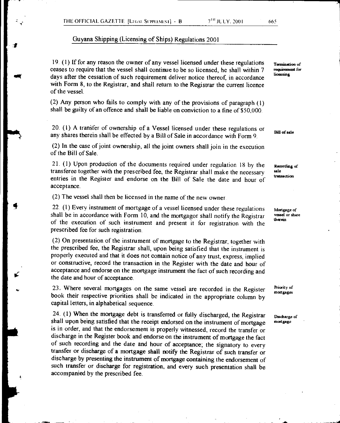19. (1) If for any reason the owner of any vessel licensed under these regulations ceases to require that the vessel shall continue to be so licensed, he shall within 7 days after the cessation of such requirement deliver notice thereof, in accordance with Form 8, to the Registrar, and shall return to the Registrar the current licence of the vessel.

(2) Any person who fails to comply with any of the provisions of paragraph (1) shall be guilty of an offence and shall be liable on conviction to a fine of \$50,000.

20. (1) A transfer of ownership of a Vessel licensed under these regulations or any shares therein shall be effected by a Bill of Sale in accordance with Form 9.

(2) In the case of joint ownership, all the joint owners shall join in the execution of the Bill of Sale.

21. (1) Upon production of the documents required under regulation 18 by the transferee together with the prescribed fee, the Registrar shall make the necessary entries in the Register and endorse on the Bill of Sale the date and hour of acceptance.

(2) The vessel shall then be licensed in the name of the new owner

22. (1) Every instrument of mortgage of a vessel licensed under these regulations shall be in accordance with Form 10, and the mortgagor shall notify the Registrar of the execution of such instrument and present it for registration with the prescribed fee for such registration.

(2) On presentation of the instrument of mortgage to the Registrar, together with the prescribed fee, the Registrar shall, upon being satisfied that the instrument is properly executed and that it does not contain notice of any trust, express, implied or constructive, record the transaction in the Register with the date and hour of acceptance and endorse on the mortgage instrument the fact of such recording and the date and hour of acceptance.

23. Where several mortgages on the same vessel are recorded in the Register book their respective priorities shall be indicated in the appropriate column by capital letters, in alphabetical sequence.

24. (1) When the mortgage debt is transferred or fully discharged, the Registrar shall upon being satisfied that the receipt endorsed on the instrument of mortgage is in order, and that the endorsement is properly witnessed, record the transfer or discharge in the Register book and endorse on the instrument of mortgage the fact of such recording and the date and hour of acceptance; the signatory to every transfer or discharge of a mortgage shall notify the Registrar of such transfer or discharge by presenting the instrument of mortgage containing the endorsement of such transfer or discharge for registration, and every such presentation shall be accompanied by the prescribed fee.

**Termination of requirement for licensing** 

**Bill of sale** 

**Recording of sale transaction** 

**Mortgage of vessel or share therein** 

**Priority of mortgages** 

**Discharge** of **mortgage**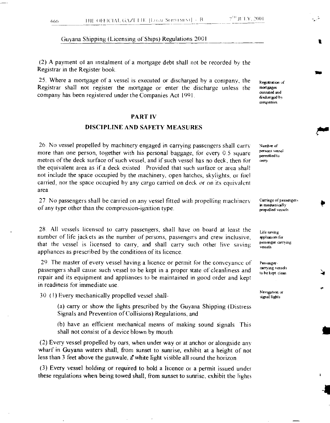(2) A payment of an instalment of a mortgage debt shall not be recorded by the Registrar in the Register book.

25. Where a mortgage of a vessel is executed or discharged by a company, the Registrar shall not register the mortgage or enter the discharge unless the company has been registered under the Companies Act 1991

#### PART IV

#### DISCIPLINE AND SAFETY MEASURES

26. No vessel propelled by machinery engaged in carrying passengers shall carry more than one person, together with his personal baggage, for every 0.5 square metres of the deck surface of such vessel, and if such vessel has no deck, then for the equivalent area as if a deck existed: Provided that such surface or area shall not include the space occupied by the machinery, open hatches, skylights, or fuel carried, nor the space occupied by any cargo carried on deck or on its equivalent area

27 No passengers shall be carried on any vessel fitted with propelling machinery of any type other than the compression-ignition type.

28. All vessels licensed to carry passengers, shall have on board at least the number of life jackets as the number of persons, passengers and crew inclusive, that the vessel is licensed to carry, and shall carry such other live saving appliances as prescribed by the conditions of its licence.

29. The master of every vessel having a licence or permit for the conveyance of passengers shall cause such vessel to be kept in a proper state of cleanliness and repair and its equipment and appliances to be maintained in good order and kept in readiness for immediate use.

30. (I) Every mechanically propelled vessel shall-

(a) carry or show the lights prescribed by the Guyana Shipping (Distress Signals and Prevention of Collisions) Regulations, and

(b) have an efficient mechanical means of making sound signals This shall not consist of a device blown by mouth.

(2) Every vessel propelled by oars, when under way or at anchor or alongside any wharf in Guyana waters shall, from sunset to sunrise, exhibit at a height of not less than 3 feet above the gunwale, a'white light visible all round the horizon.

(3) Every vessel holding or required to hold a licence or a permit issued under these regulations when being towed shall, from sunset to sunrise, exhibit the lights Registration of mortgages executed and discharged by companies

Number of persons vessel permitted to can

Carnage of passengers in mechanically propelled vessels.

Life saving appliances for passenger carrying vessels

Passengercurving vessels to be kept clean

Navigation or signal lights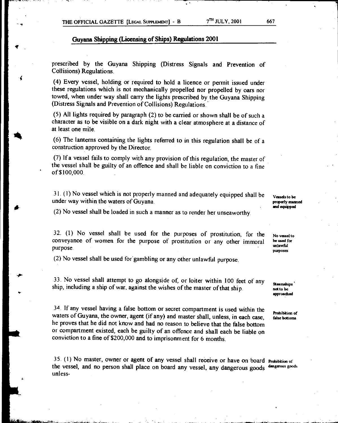prescribed by the Guyana Shipping (Distress Signals and Prevention of Collisions) Regulations.

(4) Every vessel, holding or required to hold a licence or permit issued under these regulations which is not mechanically propelled nor propelled by oars nor towed, when under way shall carry the lights prescribed by the Guyana Shipping (Distress Signals and Prevention of Collisions) Regulations.

(5) All lights required by paragraph (2) to be carried or shown shall be of such a character as to be visible on a dark night with a clear atmosphere at a distance of at least one mile.

(6) The lanterns containing the lights referred to in this regulation shall be of a construction approved by the Director.

(7) If a vessel fails to comply with any provision of this regulation, the master of the vessel shall be guilty of an offence and shall be liable on conviction to a fine of \$100,000

31. (1) No vessel which is not properly manned and adequately equipped shall be under way within the waters of Guyana.

**Vessels to be properly manned and equipped** 

(2) No vessel shall be loaded in such a manner as to render her unseaworthy.

32. (1) No vessel shall be used for the purposes of prostitution, for the conveyance of women for the purpose of prostitution or any other immoral purpose.

(2) No vessel shall be used for gambling or any other unlawful purpose.

33. No vessel shall attempt to go alongside of, or loiter within 100 feet of any ship, including a ship of war, against the wishes of the master of that ship.

34. If any vessel having a false bottom or secret compartment is used within the waters of Guyana, the owner, agent (if any) and master shall, unless, in each case, he proves that he did not know and had no reason to believe that the false bottom or compartment existed, each be guilty of an offence and shall each be liable on conviction to a fine of \$200,000 and to imprisonment for 6 months.

35 (1) No master, owner or agent of any vessel shall receive or have on board **Prohibition** or the vessel, and no person shall place on board any vessel, any dangerous goods dangerous goods unless-

**No vessel to be used for unlawful purposes** 

**Steamships not to be approached** 

**Prohibition of false bosoms**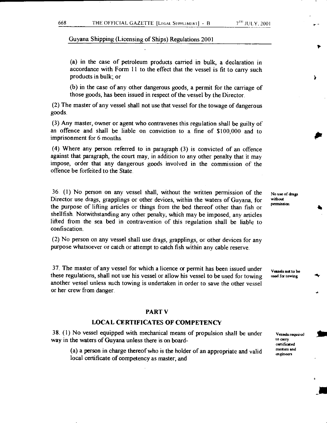(a) in the case of petroleum products carried in bulk, a declaration in accordance with Form 11 to the effect that the vessel is fit to carry such products in bulk; or

(b) in the case of any other dangerous goods, a permit for the carriage of those goods, has been issued in respect of the vessel by the Director.

(2) The master of any vessel shall not use that vessel for the towage of dangerous goods.

(3) Any master, owner or agent who contravenes this regulation shall be guilty of an offence and shall be liable on conviction to a fine of \$100,000 and to imprisonment for 6 months.

(4) Where any person referred to in paragraph (3) is convicted of an offence against that paragraph, the court may, in addition to any other penalty that it may impose, order that any dangerous goods involved in the commission of the offence be forfeited to the State.

36. (1) No person on any vessel shall, without the written permission of the Director use drags, grapplings or other devices, within the waters of Guyana, for the purpose of lifting articles or things from the bed thereof other than fish or shellfish. Notwithstanding any other penalty, which may be imposed, any articles lifted from the sea bed in contravention of this regulation shall be liable to confiscation.

(2) No person on any vessel shall use drags, grapplings, or other devices for any purpose whatsoever or catch or attempt to catch fish within any cable reserve

37. The master of any vessel for which a licence or permit has been issued under these regulations, shall not use his vessel or allow his vessel to be used for towing another vessel unless such towing is undertaken in order to save the other vessel or her crew from danger.

#### PART V

#### LOCAL CERTIFICATES OF COMPETENCY

38. (1) No vessel equipped with mechanical means of propulsion shall be under way in the waters of Guyana unless there is on board-

(a) a person in charge thereof who is the holder of an appropriate and valid local certificate of competency as master; and

**No use of drags without permission** 

**Vessels not to be used for towing** 

> Vessels required to arty certificated masters and engineers

> > 4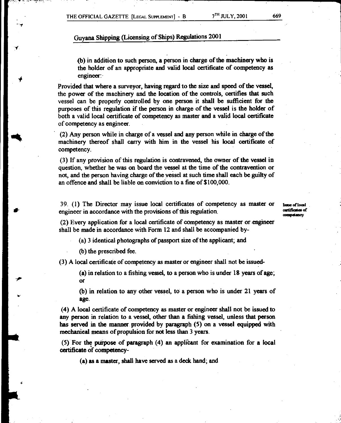$\ddot{\phantom{0}}$ 

# **Guyana Shipping (Licensing of Ships) Regulations 2001**

**(b) in addition to such person, a person in charge of the machinery who is the holder of an appropriate and valid local certificate of competency as engineer:** 

**Provided that where a surveyor, having regard to the size and speed of the vessel, the power of the machinery and the location of the controls, certifies that such**  vessel can be properly controlled by one person it shall be sufficient for the purposes of this regulation if the person in charge of the vessel is the holder of both a valid local certificate of competency as master and a valid local certificate of competency as engineer.

(2) Any person while in charge of a vessel and any person while in charge of the machinery thereof shall carry with him in the vessel his local certificate of competency.

(3) If any provision of this regulation is contravened, the owner of the vessel in question, whether he was on board the vessel at the time of the contravention or not, and the person having charge of the vessel at such time shall each be guilty of an offence and shall be liable on conviction to a fine of \$100,000.

39. (1) The Director may issue local certificates of competency as master or engineer in accordance with the provisions of this regulation.

**Imo of local ordificosi of camped:my** 

(2) Every application for a local certificate of competency as master or.engineer shall be made in accordance with Form 12 and shall be accompanied by-

(a) 3 identical photographs of passport size of the applicant; and

**(b) the prescribed fee.** 

**(3) A local certificate of competency as master or engineer shall not be issued-** 

**(a) in relation to a fishing vessel, to a person who is under 18 years of age; Or** 

**(b) in relation to any other vessel, to a person who is under 21 years of age.** 

**(4) A local certificate of competency as master or engineer shall not be issued to any person in relation to a vessel, other than a fishing vessel, unless that person has served in the manner provided by paragraph (5) on a vessel equipped with mechanical means of propulsion for not less than 3 years.** 

**(5) For the puipose of paragraph** (4) an **appliCant for examination for a local certificate of competency-** 

**(a) as a master, shall have served as a deck hand; and**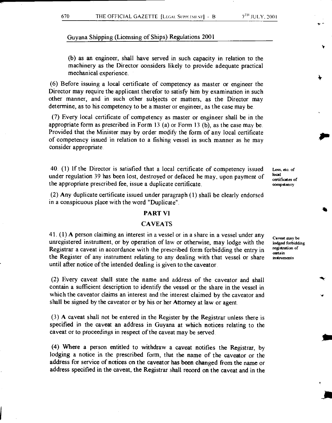-

Guyana Shipping (Licensing of Ships) Regulations 2001

(b) as an engineer, shall have served in such capacity in relation to the machinery as the Director considers likely to provide adequate practical mechanical experience.

(6) Before issuing a local certificate of competency as master or engineer the Director may require the applicant therefor to satisfy him by examination in such other manner, and in such other subjects or matters, as the Director may determine, as to his competency to be a master or engineer, as the case may be.

(7) Every local certificate of competency as master or engineer shall be in the appropriate form as prescribed in Form 13 (a) or Form 13 (b), as the case may be. Provided that the Minister may by order modify the form of any local certificate of competency issued in relation to a fishing vessel in such manner as he may consider appropriate.

40. (1) If the Director is satisfied that a local certificate of competency issued under regulation 39 has been lost, destroyed or defaced he may, upon payment of the appropriate prescribed fee, issue a duplicate certificate.

(2) Any duplicate certificate issued under paragraph (1) shall be clearly endorsed in a conspicuous place with the word "Duplicate"

#### **PART VI**

#### **CAVEATS**

41. (1) A person claiming an interest in a vessel or in a share in a vessel under any unregistered instrument, or by operation of law or otherwise, may lodge with the Registrar a caveat in accordance with the prescribed form forbidding the entry in the Register of any instrument relating to any dealing with that vessel or share until after notice of the intended dealing is given to the caveator.

(2) Every caveat shall state the name and address of the caveator and shall contain a sufficient description to identify the vessel or the share in the vessel in which the caveator claims an interest and the interest claimed by the caveator and shall be signed by the caveator or by his or her Attorney at law or agent.

(3) A caveat shall not be entered in the Register by the Registrar unless there is specified in the caveat an address in Guyana at which notices relating to the caveat or to proceedings in respect of the caveat may be served.

(4) Where a person entitled to withdraw a caveat notifies the Registrar, by lodging a notice in the prescribed form, that the name of the caveator or the address for service of notices on the caveator has been changed from the name or address specified in the caveat, the Registrar shall record on the caveat and in the

**Loss, etc. of local catificates of competency** 

**Caveat may be lodged forbidding registration of certain instruments**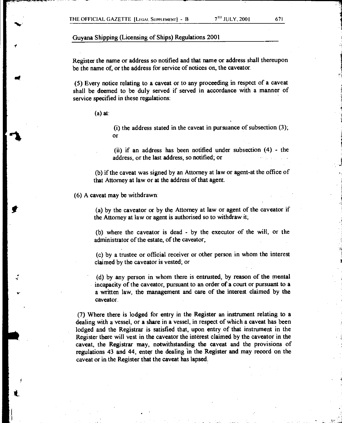Register the name or address so notified and that name or address shall thereupon be the name of, or the address for service of notices on, the caveator.

(5) Every notice relating to a caveat or to any proceeding in respect of a caveat shall be deemed to be duly served if served in accordance with a manner of service specified in these regulations:

(a) at:

(i) the address stated in the caveat in pursuance of subsection (3); or

(ii) if an address has been notified under subsection (4) - the address, or the last address, so notified; or

(b) if the caveat was signed by an Attorney at law or agent-at the office of that Attorney at law or at the address of that agent.

(6) A caveat may be withdrawn:

 $\frac{1}{1}$ 

(a) by the caveator or by the Attorney at law or agent of the caveator if the Attorney at law or agent is authorised so to withdraw it;

(b) where the caveator is dead - by the executor of the will, or the administrator of the estate, of the caveator;

(c) by a trustee or official receiver or other person in whom the interest claimed by the caveator is vested; or

(d) by any person in whom there is entrusted, by reason of the mental incapacity of the caveator, pursuant to an order of a court or pursuant to a a written law, the management and care of the interest claimed by the caveator.

(7) Where there is lodged for entry in the Register an instrument relating to a dealing with a vessel, or a share in a vessel, in respect of which a caveat has been lodged and the Registrar is satisfied that, upon entry of that instrument in the Register there will vest in the caveator the interest claimed by the caveator in the caveat, the Registrar may, notwithstanding the caveat and the provisions of regulations 43 and 44, enter the dealing in the Register and may record on the caveat or in the Register that the caveat has lapsed.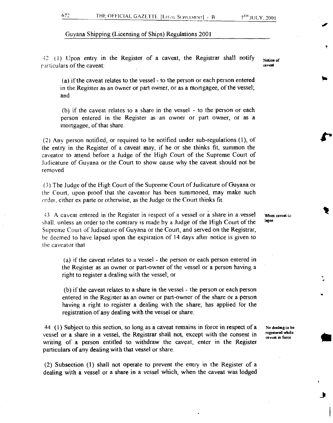42 (1) Upon entry in the Register of a caveat, the Registrar shall notify Notice of rarticulars of the caveat: caveat: caveating caveating caveating caveating caveating caveating caveating caveating caveating caveating caveating caveating caveating caveating caveating caveating caveating caveating caveati

(a) if the caveat relates to the vessel - to the person or each person entered in the Register as an owner or part owner, or as a mortgagee, of the vessel; and

(b) if the caveat relates to a share in the vessel - to the person or each person entered in the Register as an owner or part owner, or as a mortgagee, of that share.

(2) Any person notified, or required to be notified under sub-regulations (1), of the entry in the Register of a caveat may, if he or she thinks fit, summon the caveator to attend before a Judge of the High Court of the Supreme Court of Judicature of Guyana or the Court to show cause why the caveat should not be removed

(3) The Judge of the High Court of the Supreme Court of Judicature of Guyana or the Court, upon proof that the caveator has been summoned, may make such order, either ex parte or otherwise, as the Judge or the Court thinks fit.

43 A caveat entered in the Register in respect of a vessel or a share in a .vessel shall. unless an order to the contrary is made by a Judge of the High Court of the Supreme Court of Judicature of Guyana or the Court, and served on the Registrar, he deemed to have lapsed upon the expiration of 14 days after notice is given to the caveator that

(a) if the caveat relates to a vessel - the person or each person entered in the Register as an owner or part-owner of the vessel or a person having a right to register a dealing with the vessel; or

(b) if the caveat relates to a share in the vessel - the person or each person entered in the Register as an owner or part-owner of the share or a person having a right to register a dealing with the share; has applied for the registration of any dealing with the vessel or share.

44. (1) Subject to this section, so long as a caveat remains in force in respect of a vessel or a share in a vessel, the Registrar shall not, except with the consent in writing of a person entitled to withdraw the caveat, enter in the Register particulars of any dealing with that vessel or share.

(2) Subsection (1) shall not operate to prevent the entry in the Register of a dealing with a vessel or a share in a vessel which, when the caveat was lodged

When caveat to lapse

No dealing to be registered while caveat in force

₩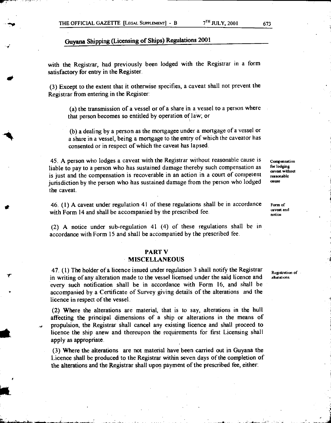with the Registrar, had previously been lodged with the Registrar in a form satisfactory for entry in the Register.

(3) Except to the extent that it otherwise specifies, a caveat shall not prevent the Registrar from entering in the Register:

(a) the transmission of a vessel or of a share in a vessel to a person where that person becomes so entitled by operation of law; or

(b) a dealing by a person as the mortgagee under a mortgage of a vessel or a share in a vessel, being a mortgage to the entry of which the caveator has consented or in respect of which the caveat has lapsed.

45. A person who lodges a caveat with the Registrar without reasonable cause is liable to pay to a person who has sustained damage thereby such compensation as is just and the compensation is recoverable in an action in a court of competent jurisdiction by the person who has sustained damage from the person who lodged the caveat.

46. (1) A caveat under regulation 41 of these regulations shall be in accordance with Form 14 and shall be accompanied by the prescribed fee.

(2) A notice under sub-regulation 41 (4) of these regulations shall be in accordance with Form 15 and shall be accompanied by the prescribed fee.

#### **PART V**

#### **MISCELLANEOUS**

47. (1) The holder of a licence issued under regulation 3 shall notify the Registrar in writing of any alteration made to the vessel licensed under the said licence and every such notification shall be in accordance with Form 16, and shall be accompanied by a Certificate of Survey giving details of the alterations and the licence in respect of the vessel.

(2) Where the alterations are material, that is to say, alterations in the hull affecting the principal dimensions of a ship or alterations in the means of propulsion, the Registrar shall cancel any existing licence and shall proceed to licence the ship anew and thereupon the requirements for first Licensing shall apply as appropriate.

(3) Where the alterations are not material have been carried out in Guyana the Licence shall be produced to the Registrar within seven days of the completion of the alterations and the Registrar shall upon payment of the prescribed fee, either:

Registration of altaatums

**Compatsation for lodging caveat without reasonable Cathie** 

**Form of caveat and notice**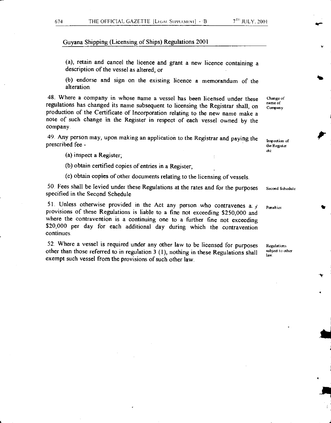(a), retain and cancel the licence and grant a new licence containing a description of the vessel as altered; or

(b) endorse and sign on the existing licence a memorandum of the alteration.

48. Where a company in whose name a vessel has been licensed under these regulations has changed its name subsequent to licensing the Registrar shall, on production of the Certificate of Incorporation relating to the new name make a note of such change in the Register in respect of each vessel owned by the company.

49. Any person may, upon making an application to the Registrar and paying the prescribed fee -

Inspection of the Register de

Change of name of Company

(a) inspect a Register;

(b) obtain certified copies of entries in a Register;

(c) obtain copies of other documents relating to the licensing of vessels.

50. Fees shall be levied under these Regulations at the rates and for the purposes second Schedule specified in the Second Schedule

51. Unless otherwise provided in the Act any person who contravenes a:  $y$ provisions of these Regulations is liable to a fine not exceeding \$250,000 and where the contravention is a continuing one to a further fine not exceeding \$20,000 per day for each additional day during which the contravention continues.

52 Where a vessel is required under any other law to be licensed for purposes other than those referred to in regulation 3 (I), nothing in these Regulations shall exempt such vessel from the provisions of such other law.

Penalties

Regulations subject to other law.

•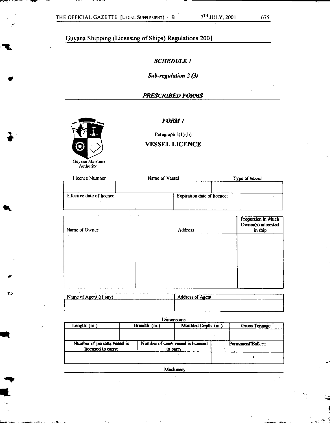# *SCHEDULE I*

# *Sub-regulation 2 (3)*

# *PRESCRIBED FORMS*



V

 $\mathbf{v}$ 

#### *FORM I*

Paragraph 3(1) (b)

### VESSEL LICENCE

| Licence Number             | Name of Vessel |                                    | Type of vessel |
|----------------------------|----------------|------------------------------------|----------------|
|                            |                |                                    |                |
|                            |                |                                    |                |
| Effective date of licence: |                | <b>Expiration date of licence:</b> |                |
|                            |                |                                    |                |
|                            |                |                                    |                |

| Name of Owner | <b>Address</b> | Proportion in which<br>Owner(s) interested<br>in ship |
|---------------|----------------|-------------------------------------------------------|
|               |                |                                                       |
|               |                |                                                       |
|               |                |                                                       |
|               |                |                                                       |

| ____<br>Name of Agent (if any)<br>----- | ________________<br>Agant<br>Address of<br>----- <del>-----</del><br>----- |
|-----------------------------------------|----------------------------------------------------------------------------|
|                                         |                                                                            |
|                                         |                                                                            |

#### Dimensions:

| Length: $(m. )$                                   |  |                                   | Moulded Depth: (m.)<br>Breadth: (m.) |  | Gross Tomage:      |
|---------------------------------------------------|--|-----------------------------------|--------------------------------------|--|--------------------|
| Number of persons vessel is<br>licensed to carry: |  | Number of crew vessel is licensed | to carry:                            |  | Permanent Ballest: |
|                                                   |  |                                   |                                      |  | $-4.73 - 4$        |

**Machinery**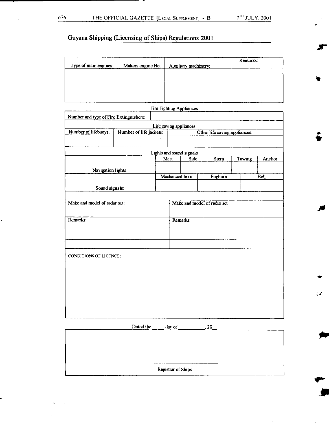ar

 $\ddot{\bullet}$ 

**vir** 

 $\mathbb{R}^2$ 

# Guyana Shipping (Licensing of Ships) Regulations 2001

| Type of main engines: | Makers engine No. | Auxiliary machinery: | Remarks: |
|-----------------------|-------------------|----------------------|----------|
|                       |                   |                      |          |
|                       |                   |                      |          |
|                       |                   |                      |          |

|                                        |                         |      |                    | Fire Fighting Appliances         |                               |        |        |
|----------------------------------------|-------------------------|------|--------------------|----------------------------------|-------------------------------|--------|--------|
| Number and type of Fire Extinguishers: |                         |      |                    |                                  |                               |        |        |
|                                        |                         |      |                    | Life saving appliances           |                               |        |        |
| Number of lifebuoys:                   | Number of life jackets: |      |                    |                                  | Other life saving appliances: |        |        |
|                                        |                         |      |                    |                                  |                               |        |        |
|                                        |                         |      |                    |                                  |                               |        |        |
|                                        |                         | Mast |                    | Lights and sound signals<br>Side | S <sub>tan</sub>              | Towing | Anchor |
|                                        |                         |      |                    |                                  |                               |        |        |
| Navigation lights:                     |                         |      | Mechanical horn    |                                  | Foghom                        |        | Bell   |
|                                        |                         |      |                    |                                  |                               |        |        |
| Sound signals:                         |                         |      |                    |                                  |                               |        |        |
|                                        |                         |      |                    |                                  |                               |        |        |
| Make and model of radar set:           |                         |      |                    |                                  | Make and model of radio set:  |        |        |
|                                        |                         |      |                    |                                  |                               |        |        |
| Remarks:                               |                         |      |                    | Remarks:                         |                               |        |        |
|                                        |                         |      |                    |                                  |                               |        |        |
|                                        |                         |      |                    |                                  |                               |        |        |
|                                        |                         |      |                    |                                  |                               |        |        |
| <b>CONDITIONS OF LICENCE:</b>          |                         |      |                    |                                  |                               |        |        |
|                                        |                         |      |                    |                                  |                               |        |        |
|                                        |                         |      |                    |                                  |                               |        |        |
|                                        |                         |      |                    |                                  |                               |        |        |
|                                        |                         |      |                    |                                  |                               |        |        |
|                                        |                         |      |                    |                                  |                               |        |        |
|                                        |                         |      |                    |                                  |                               |        |        |
|                                        |                         |      |                    |                                  |                               |        |        |
|                                        |                         |      |                    |                                  |                               |        |        |
|                                        | Dated the               |      | day of             |                                  | 20                            |        |        |
|                                        |                         |      |                    |                                  |                               |        |        |
|                                        |                         |      |                    |                                  |                               |        |        |
|                                        |                         |      |                    |                                  |                               |        |        |
|                                        |                         |      |                    |                                  |                               |        |        |
|                                        |                         |      | Registrar of Ships |                                  |                               |        |        |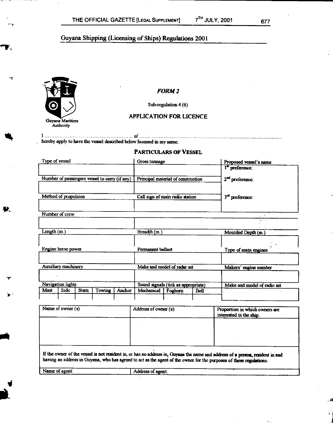

#### *FORM 2*

Sub-regulation 4 (6)

### **APPLICATION FOR LICENCE**

I of hereby apply to have the vessel described below licensed in my name.

#### **PARTICULARS OF VESSEL**

| Type of vessel             |                                               |                                     |        |              | Gross tonnage                      |         |                             | Proposed vessel's name                             |  |
|----------------------------|-----------------------------------------------|-------------------------------------|--------|--------------|------------------------------------|---------|-----------------------------|----------------------------------------------------|--|
|                            |                                               |                                     |        |              |                                    |         |                             | l <sup>"</sup> preference:                         |  |
|                            | Number of passengers vessel to carry (if any) |                                     |        |              | Principal material of construction |         | 2 <sup>nd</sup> preference: |                                                    |  |
| Method of propulsion       |                                               | Call sign of main radio station     |        |              | 3 <sup>rd</sup> preference:        |         |                             |                                                    |  |
|                            | Number of crew                                |                                     |        |              |                                    |         |                             | ka men                                             |  |
|                            |                                               |                                     |        |              |                                    |         |                             | $\mathcal{L} = \{ \mathcal{L}_1, \mathcal{L}_2 \}$ |  |
| Length $(m.)$              |                                               |                                     |        | Breadth (m.) |                                    |         | Moulded Depth (m.)          |                                                    |  |
| Engine horse power         |                                               | Permanent ballast                   |        |              | Type of main engines               |         |                             |                                                    |  |
| <b>Auxiliary machinery</b> |                                               | Make and model of radar set         |        |              | Makers' engine number              |         |                             |                                                    |  |
| <b>Navigation lights</b>   |                                               | Sound signals (tick as appropriate) |        |              | Make and model of radio set        |         |                             |                                                    |  |
| Mast                       | Side                                          | <b>Stern</b>                        | Towing | Anchor       | Mechanical                         | Foghorn | <b>Bell</b>                 |                                                    |  |
|                            |                                               |                                     |        |              |                                    |         |                             |                                                    |  |

| Name of owner (s)                                                                                                                                                                                                                                    | Address of owner (s) | Proportion in which owners are<br>interested in the ship. |  |  |
|------------------------------------------------------------------------------------------------------------------------------------------------------------------------------------------------------------------------------------------------------|----------------------|-----------------------------------------------------------|--|--|
|                                                                                                                                                                                                                                                      |                      |                                                           |  |  |
|                                                                                                                                                                                                                                                      |                      |                                                           |  |  |
| If the owner of the vessel is not resident in, or has no address in, Guyana the name and address of a person, resident in and<br>having an address in Guyana, who has agreed to act as the agent of the owner for the purposes of these regulations. |                      |                                                           |  |  |

**4** 

Name of agent: **I Address of agent:**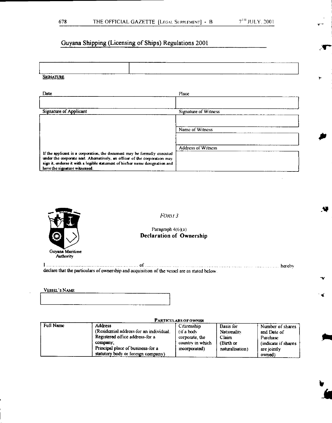4.

**I.** 

 $\mathbf{r}$ 

# Guyana Shipping (Licensing of Ships) Regulations 2001

| _______<br>.  | -------<br>______ |  |
|---------------|-------------------|--|
|               |                   |  |
|               |                   |  |
|               |                   |  |
|               |                   |  |
|               |                   |  |
|               |                   |  |
|               |                   |  |
|               |                   |  |
|               |                   |  |
|               |                   |  |
|               |                   |  |
|               | ----              |  |
|               |                   |  |
|               |                   |  |
| n me          |                   |  |
|               |                   |  |
| $S_{\rm ICR}$ |                   |  |
| _________     |                   |  |
|               |                   |  |

| Date                                                                                                                                                   | Place                       |
|--------------------------------------------------------------------------------------------------------------------------------------------------------|-----------------------------|
|                                                                                                                                                        |                             |
| <b>Signature of Applicant</b>                                                                                                                          | <b>Signature of Witness</b> |
|                                                                                                                                                        |                             |
|                                                                                                                                                        | Name of Witness             |
|                                                                                                                                                        |                             |
|                                                                                                                                                        | <b>Address of Witness</b>   |
| If the applicant is a corporation, the document may be formally executed<br>under the corporate seal. Alternatively, an officer of the corporation may |                             |
| sign it, endorse it with a legible statement of his/her name designation and<br>have the signature witnessed.                                          |                             |



*FORA 1 3* 

#### Paragraph 4(6)(a) **Declaration of Ownership**

I measurement in the contract of the contract of the contract of the contract of the contract of the contract of the contract of the contract of the contract of the contract of the contract of the contract of the contract declare that the particulars of ownership and acquisition of the vessel are as stated below.

#### **VESSEL'S NAME**

#### **PARTICULARS OF OWNER**

| Full Name | <b>Address</b>                          | Citizenship      | Basis for          | Number of shares    |
|-----------|-----------------------------------------|------------------|--------------------|---------------------|
|           | (Residential address-for an individual: | (if a body       | <b>Nationality</b> | and Date of         |
|           | Registered office address-for a         | corporate, the   | Claim              | Purchase            |
|           | company,                                | country in which | (Birth or          | (indicate if shares |
|           | Principal place of business-for a       | incorporated)    | naturalisation)    | are jointly         |
|           | statutory body or foreign company)      |                  |                    | owned)              |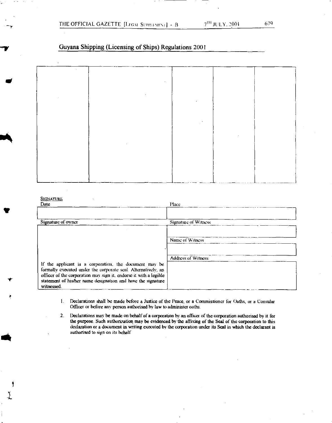| $\sim$ |              |  |  |
|--------|--------------|--|--|
|        |              |  |  |
|        | $\sim$       |  |  |
|        | $\mathbf{r}$ |  |  |
|        |              |  |  |
|        |              |  |  |
|        |              |  |  |
|        |              |  |  |
|        |              |  |  |
|        |              |  |  |
|        | ٠            |  |  |
|        |              |  |  |
|        |              |  |  |
|        |              |  |  |
|        |              |  |  |

#### **SIGNATURE**

| Date                                                              | Place                     |
|-------------------------------------------------------------------|---------------------------|
|                                                                   |                           |
|                                                                   |                           |
| Signature of owner                                                | Signature of Witness      |
|                                                                   |                           |
|                                                                   | Name of Witness           |
|                                                                   |                           |
|                                                                   | <b>Address of Witness</b> |
| If the applicant is a corporation, the document may be            |                           |
| formally executed under the corporate seal. Alternatively, an     |                           |
| officer of the corporation may sign it, endorse it with a legihle |                           |
| statement of his/her name designation and have the signature      |                           |
| witnessed.                                                        |                           |

- I. Declarations shall be made before a Justice of the Peace, or a Commissioner for Oaths, or a Consular Officer or before any person authorised by law to administer oaths.
- 2. Declarations may be made on behalf of a corporation by an officer of the corporation authorised by it for the purpose. Such authorization may be evidenced by the affixing of the Seal of the corporation to this declaration or a document in writing executed by the corporation under its Seal in which the declarant is authorised to sign on its behalf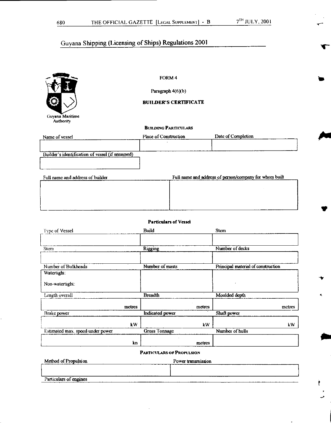

FORM 4

Paragraph 4(6)(b)

### BUILDER'S CERTIFICATE

#### BUILDING PARTICULARS

| Name of vessel                                  | Place of Construction | Date of Completion                                                                                                                                                                                                                                                                               |
|-------------------------------------------------|-----------------------|--------------------------------------------------------------------------------------------------------------------------------------------------------------------------------------------------------------------------------------------------------------------------------------------------|
|                                                 |                       |                                                                                                                                                                                                                                                                                                  |
| Builder's identification of vessel (if unnamed) |                       |                                                                                                                                                                                                                                                                                                  |
|                                                 |                       |                                                                                                                                                                                                                                                                                                  |
| .<br>.                                          |                       | $\mathbf{r}$ and $\mathbf{r}$ and $\mathbf{r}$ and $\mathbf{r}$ and $\mathbf{r}$ and $\mathbf{r}$ and $\mathbf{r}$ and $\mathbf{r}$ and $\mathbf{r}$ and $\mathbf{r}$ and $\mathbf{r}$ and $\mathbf{r}$ and $\mathbf{r}$ and $\mathbf{r}$ and $\mathbf{r}$ and $\mathbf{r}$ and $\mathbf{r}$ and |

| Full name and address of builder | Full name and address of person/company for whom built |
|----------------------------------|--------------------------------------------------------|
|                                  |                                                        |
|                                  |                                                        |
|                                  |                                                        |
|                                  |                                                        |
|                                  |                                                        |
|                                  |                                                        |
|                                  |                                                        |

#### Particulars of Vessel

| Type of Vessel                   |        | Build                  |        | <b>Stem</b>                        |
|----------------------------------|--------|------------------------|--------|------------------------------------|
| <b>Stern</b>                     |        | <b>Rigging</b>         |        | Number of decks                    |
|                                  |        |                        |        |                                    |
| Number of Bulkheads              |        | Number of masts        |        | Principal material of construction |
| Watertight:                      |        |                        |        |                                    |
| Non-watertight:                  |        |                        |        |                                    |
| Length overall                   |        | <b>Breadth</b>         |        | Moulded depth                      |
|                                  | metres |                        | metres | metres                             |
| <b>Brake</b> power               |        | <b>Indicated</b> power |        | Shaft power                        |
|                                  | kW     |                        | kW     | kW                                 |
| Estimated max. speed under power |        | <b>Gross Tonnage</b>   |        | Number of hulls                    |
|                                  | kn     |                        | metres |                                    |

#### PARTICULARS OF PROPULSION

| Method of Propulsion   | Power transmission |
|------------------------|--------------------|
|                        |                    |
| Particulars of engines |                    |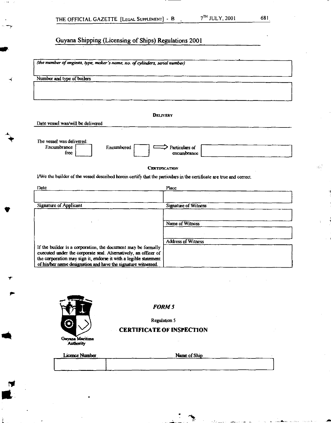| (the number of engines, type, maker's name, no. of cylinders, serial number)                                          |  |  |  |  |
|-----------------------------------------------------------------------------------------------------------------------|--|--|--|--|
| Number and type of boilers                                                                                            |  |  |  |  |
|                                                                                                                       |  |  |  |  |
|                                                                                                                       |  |  |  |  |
|                                                                                                                       |  |  |  |  |
|                                                                                                                       |  |  |  |  |
| <b>DELIVERY</b>                                                                                                       |  |  |  |  |
| Date vessel was/will be delivered                                                                                     |  |  |  |  |
|                                                                                                                       |  |  |  |  |
| The vessel was delivered:<br><b>Fncumbrance</b><br>Encumbered<br>Particulars of<br>free<br>encumbrance                |  |  |  |  |
|                                                                                                                       |  |  |  |  |
| <b>CERTIFICATION</b>                                                                                                  |  |  |  |  |
| I/We the builder of the vessel described herein certify that the particulars in the certificate are true and correct. |  |  |  |  |
|                                                                                                                       |  |  |  |  |
| Date<br><b>Flace</b>                                                                                                  |  |  |  |  |
|                                                                                                                       |  |  |  |  |
| <b>Signature of Applicant</b><br><b>Signature of Witness</b>                                                          |  |  |  |  |
|                                                                                                                       |  |  |  |  |
|                                                                                                                       |  |  |  |  |
| Name of Witness                                                                                                       |  |  |  |  |

|                                                                   | <b>Address of Witness</b> |
|-------------------------------------------------------------------|---------------------------|
| If the builder is a corporation, the document may be formally     |                           |
| executed under the corporate seal. Alternatively, an officer of 1 |                           |
| the corporation may sign it, endorse it with a legible statement  |                           |
| of his/her name designation and have the signature witnessed.     |                           |



*FORM 5* 

Regulation 5

# **CERTIFICATE OF INSPECTION**

| Licence Number | Name of Ship |
|----------------|--------------|
|                |              |
|                |              |

 $\hat{G}^{(1)}$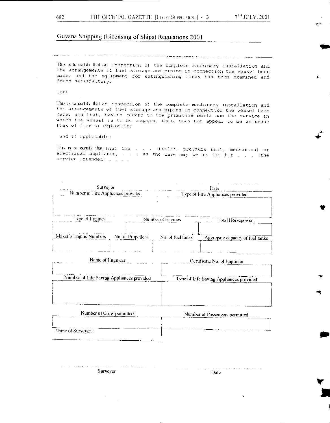S

 $\blacktriangleleft$ 

S

**Y** 

### Guyana Shipping (Licensing of Ships) Regulations 2001

This is to certify that an inspection of the complete machinery installation and the arrangements of fuel storage and piping In connection the vessel been made; and the equipment for extinguishing fires has been examined and found satisfactory.

.or

This is to certify that an inspection of the complete machinery installation and the arrangements of fuel storage aria piping in connection the vessel been made; and that, having regard to the primitive build and the service in which the vessel is to be engaged, there does not appear to be an undue risk of fire or explosion;

and if applicable)

 $\label{eq:2} \begin{array}{lll} \mathcal{L}_{\mathcal{A}}(\mathcal{A})=\mathcal{L}_{\mathcal{A}}(\mathcal{A})=\mathcal{L}_{\mathcal{A}}(\mathcal{A})=\mathcal{L}_{\mathcal{A}}(\mathcal{A})\mathcal{A}(\mathcal{A})\mathcal{A}(\mathcal{A})\mathcal{A}(\mathcal{A})\mathcal{A}(\mathcal{A})\mathcal{A}(\mathcal{A})\mathcal{A}(\mathcal{A})\mathcal{A}(\mathcal{A})\mathcal{A}(\mathcal{A})\mathcal{A}(\mathcal{A})\mathcal{A}(\mathcal{A})\mathcal{A}(\mathcal{A})\$ 

This is to certify that that the . . . (boiler, pressure unit, mechanical or electrical appliance)  $\ldots$  as the case may be is fit for  $\ldots$  (the service intended) . . . .

| Surveyor<br>Number of Fire Appliances provided |                  |                   | Date<br>Type of Fire Appliances provided |  |  |
|------------------------------------------------|------------------|-------------------|------------------------------------------|--|--|
|                                                |                  |                   |                                          |  |  |
| Type of Engines                                |                  | Number of Engines | Total Horsepower                         |  |  |
| Maket's Engine Numbers                         | No of Propellers | No of fuel tanks  | Aggregate capacity of fuel tanks         |  |  |
| Name of Engineer                               |                  |                   | Certificate No. of Engineer              |  |  |
| Number of Life Saving Appliances provided      |                  |                   | Type of Life Saving Appliances provided  |  |  |
|                                                |                  |                   |                                          |  |  |
| Number of Crew permitted                       |                  |                   | Number of Passengers permitted           |  |  |

| Name of Survevor.: | <b>Promover of Pressengers permitted</b> |
|--------------------|------------------------------------------|
|                    |                                          |

statement of the company Surveyor Date Date Date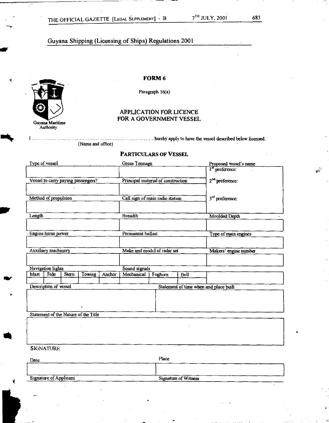

**Sr** 

*1St* 

#### **FORM 6**

Paragraph 16(a)

#### APPLICATION FOR LICENCE FOR A GOVERNMENT VESSEL

........... hereby apply to have the vessel described below licensed.

(Name and office)

#### **PARTICULARS OF** VESSEL

| Type of vessel        |                               |       |                                      |        | <b>Gross Tonnage</b>                   |                                    |                             | Proposed vessel's name      |
|-----------------------|-------------------------------|-------|--------------------------------------|--------|----------------------------------------|------------------------------------|-----------------------------|-----------------------------|
|                       |                               |       |                                      |        |                                        |                                    |                             | l <sup>st</sup> preference: |
|                       |                               |       |                                      |        |                                        |                                    |                             |                             |
|                       |                               |       | Vessel to carry paying passengers?   |        |                                        | Principal material of construction |                             | $2nd$ preference:           |
|                       |                               |       |                                      |        |                                        |                                    |                             |                             |
|                       | Method of propulsion          |       |                                      |        |                                        |                                    |                             |                             |
|                       |                               |       |                                      |        |                                        | Call sign of main radio station    |                             | 3rd preference:             |
|                       |                               |       |                                      |        |                                        |                                    |                             |                             |
| Length                |                               |       |                                      |        | <b>Breadth</b>                         |                                    |                             | <b>Moulded Depth</b>        |
|                       |                               |       |                                      |        |                                        |                                    |                             |                             |
|                       |                               |       |                                      |        |                                        |                                    |                             |                             |
|                       | Engine horse power            |       |                                      |        | Permanent ballast                      |                                    |                             | Type of main engines        |
|                       |                               |       |                                      |        |                                        |                                    |                             |                             |
|                       |                               |       |                                      |        |                                        |                                    |                             |                             |
|                       | Auxiliary machinery           |       |                                      |        |                                        | Make and model of radar set        |                             | Makers' engine number       |
|                       |                               |       |                                      |        |                                        |                                    |                             |                             |
|                       |                               |       |                                      |        |                                        |                                    |                             |                             |
| Mast                  | Navigation lights<br>Side     |       |                                      |        | Sound signals<br>Mechanical            |                                    |                             |                             |
|                       |                               | Stern | Towing                               | Anchor |                                        | Foghorn                            | Bell                        |                             |
| Description of vessel |                               |       |                                      |        | Statement of time when and place built |                                    |                             |                             |
|                       |                               |       |                                      |        |                                        |                                    |                             |                             |
|                       |                               |       |                                      |        |                                        |                                    |                             |                             |
|                       |                               |       |                                      |        |                                        |                                    |                             |                             |
|                       |                               |       |                                      |        |                                        |                                    |                             |                             |
|                       |                               |       | Statement of the Nature of the Title |        |                                        |                                    |                             |                             |
|                       |                               |       |                                      |        |                                        |                                    |                             |                             |
|                       |                               |       |                                      |        |                                        |                                    |                             |                             |
|                       |                               |       |                                      |        |                                        |                                    |                             |                             |
|                       |                               |       |                                      |        |                                        |                                    |                             |                             |
|                       | <b>SIGNATURE</b>              |       |                                      |        |                                        |                                    |                             |                             |
|                       |                               |       |                                      |        |                                        |                                    |                             |                             |
| Date                  |                               |       |                                      |        |                                        | Place                              |                             |                             |
|                       |                               |       |                                      |        |                                        |                                    |                             |                             |
|                       |                               |       |                                      |        |                                        |                                    |                             |                             |
|                       | <b>Signature of Applicant</b> |       |                                      |        |                                        |                                    | <b>Signature of Witness</b> |                             |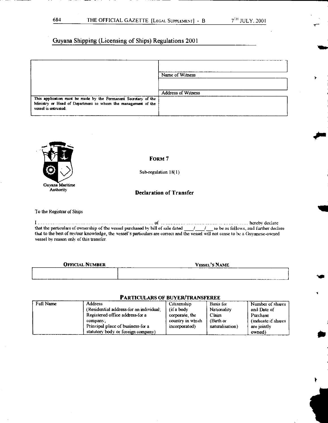|                                                                                                                                                         | Name of Witness           |
|---------------------------------------------------------------------------------------------------------------------------------------------------------|---------------------------|
|                                                                                                                                                         | <b>Address of Witness</b> |
| This application must be made by the Permanent Secretary of the<br>Ministry or Head of Department to whom the management of the<br>vessel is entrusted. |                           |



FORM 7

Sub-regulation 18(1)

#### **Declaration of Transfer**

To the Registrar of Ships

I merchant continuum continuum continuum of material continuum continuum continuum hereby declare that the particulars of ownership of the vessel purchased by bill of sale dated / / to be as follows, and further declare that to the best of my/our knowledge, the vessel's particulars are correct and the vessel will not cease to be a Guyanese-owned vessel by reason only of this transfer.

| <b>OFFICIAL NUMBER</b> | <b>VESSEL'S NAME</b> |
|------------------------|----------------------|
|                        |                      |
|                        |                      |

# PARTICULARS OF BUYER/TRANSFEREE

| Full Name | <b>Address</b>                          | Citizenship      | Basis for       | Number of shares     |
|-----------|-----------------------------------------|------------------|-----------------|----------------------|
|           | (Residential address-for an individual: | (if a body)      | Nationality     | and Date of          |
|           | Registered office address-for a         | corporate the    | Claim           | Purchase             |
|           | company,                                | country in which | (Birth or       | (indicate if shares) |
|           | Principal place of business-for a       | incorporated)    | naturalisation) | are jointly          |
|           | statutory body or foreign company)      |                  |                 | owned)               |

 $\blacktriangleright$ 

Mkt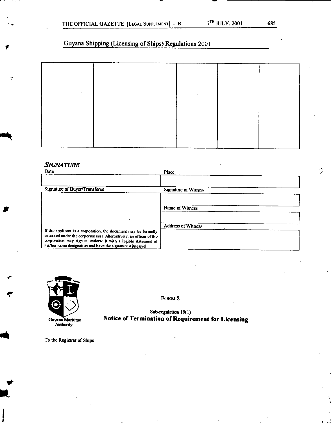|  | $\ddot{\phantom{1}}$ |  |  |
|--|----------------------|--|--|
|  |                      |  |  |
|  |                      |  |  |
|  |                      |  |  |
|  |                      |  |  |
|  |                      |  |  |
|  |                      |  |  |
|  |                      |  |  |

# *SIGNATURE*

 $\boldsymbol{\tau}$ 

sr



FORM 8

Sub-regulation 19(1) Notice of Termination of Requirement for Licensing

To the Registrar of Ships

 $\frac{1}{2}$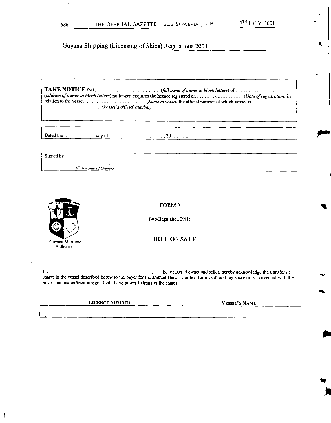TAKE NOTICE that, *(full name of owner in block letters*) of  $\ldots$ (address of owner in block letters) no longer requires the licence registered on • (Date of registration) in relation to the vessel (Mame of vessel) the official number of which vessel is (Vessel's official number).

Dated the  $\dots \dots \dots \dots$  day of  $\dots \dots \dots \dots \dots \dots \dots$ , 20  $\dots \dots \dots$ 

Signed by:

*(Full* name *of Owner)* 



FORM 9

Sub-Regulation 20(1)

# Guyana Maritime **BILL OF SALE**

**the registered owner and seller, hereby acknowledge the transfer of** shares in the vessel described below to the buyer for the amount shown. Further. for myself and my successors I covenant with the buyer and his/her/their assigns that I have power to transfer the shares.

| <b>LICENCE NUMBER</b> | <b>VESSEL'S NAME</b> |  |  |
|-----------------------|----------------------|--|--|
|                       |                      |  |  |
|                       |                      |  |  |

 $\blacktriangleleft$ 

 $\blacktriangleright$ 

*tot*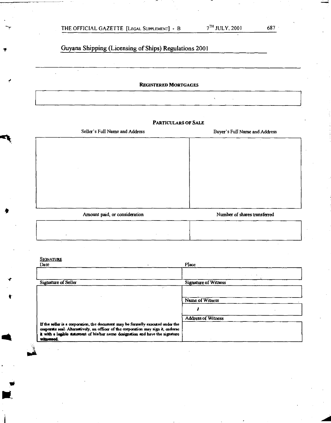| THE OFFICIAL GAZETTE [LEGAL SUPPLEMENT] - B |  |
|---------------------------------------------|--|
|---------------------------------------------|--|

 $\ddot{\phantom{0}}$ 

# Guyana Shipping (Licensing of Ships) Regulations 2001

**REGISTERED MORTGAGES** 

#### **PARTICULARS OF SALE**

Seller's Full Name and Address Buyer's Full Name and Address

Amount paid, or consideration Number of shares transferred

SIGNATURE

**sit** 

| Date                                                                                                                                                                                                                                                                 | Place                             |
|----------------------------------------------------------------------------------------------------------------------------------------------------------------------------------------------------------------------------------------------------------------------|-----------------------------------|
|                                                                                                                                                                                                                                                                      | the control of the control of the |
| Signature of Seller                                                                                                                                                                                                                                                  | <b>Signature of Witness</b>       |
|                                                                                                                                                                                                                                                                      |                                   |
|                                                                                                                                                                                                                                                                      | Name of Witness                   |
|                                                                                                                                                                                                                                                                      |                                   |
|                                                                                                                                                                                                                                                                      | <b>Address of Witness</b>         |
| If the seller is a corporation, the document may be formally executed under the<br>corporate seal. Alternatively, an officer of the corporation may sign it, endorse<br>it with a legible nutcment of his/her name designation and have the signature<br>with essed. |                                   |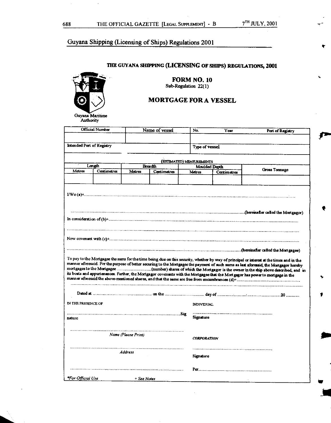# **THE GUYANA SHIPPING (LICENSING OF SHIPS) REGULATIONS, 2001**



**FORM NO. 10**  Sub-Regulation 22(1)

# **MORTGAGE FOR A VESSEL**

| Official Number              | Name of vessel                                                                                                                                                                                                                                                             | No.                                    | Year | Port of Registry |  |
|------------------------------|----------------------------------------------------------------------------------------------------------------------------------------------------------------------------------------------------------------------------------------------------------------------------|----------------------------------------|------|------------------|--|
| Intended Port of Registry    |                                                                                                                                                                                                                                                                            | Type of vessel                         |      |                  |  |
|                              |                                                                                                                                                                                                                                                                            |                                        |      |                  |  |
| Length                       | Breadth                                                                                                                                                                                                                                                                    | (ESTIMATED) MEASUREMENTS               |      |                  |  |
| Metres<br>Centimetres        | Metres<br>Centimetres                                                                                                                                                                                                                                                      | Moulded Depth<br>Matres<br>Cantimatres |      | Gross Tonnage    |  |
|                              |                                                                                                                                                                                                                                                                            |                                        |      |                  |  |
|                              |                                                                                                                                                                                                                                                                            |                                        |      |                  |  |
|                              |                                                                                                                                                                                                                                                                            |                                        |      |                  |  |
|                              |                                                                                                                                                                                                                                                                            |                                        |      |                  |  |
|                              | www.communication.communication.communication.communication.communication.com/hereinafter called the Mortgagor)                                                                                                                                                            |                                        |      |                  |  |
|                              |                                                                                                                                                                                                                                                                            |                                        |      |                  |  |
|                              |                                                                                                                                                                                                                                                                            |                                        |      |                  |  |
|                              |                                                                                                                                                                                                                                                                            |                                        |      |                  |  |
|                              |                                                                                                                                                                                                                                                                            |                                        |      |                  |  |
|                              | To pay to the Mortgagee the sums for the time being due on this security, whether by way of principal or interest at the times and in the                                                                                                                                  |                                        |      |                  |  |
|                              | manner aforesaid. For the purpose of better securing to the Mortgagee the payment of such sums as last aforesaid, the Mortgagor hereby<br>its boats and appurtenances. Further, the Mortgagor covenants with the Mortgagee that the Mortgagor has power to mortgage in the |                                        |      |                  |  |
|                              | Dated at manufacture communication on the manufacture day of manufacture communication of the 20 manufacture                                                                                                                                                               |                                        |      |                  |  |
|                              |                                                                                                                                                                                                                                                                            | <b><i>NDIVIDUAL</i></b>                |      |                  |  |
| IN THE PRESENCE OF<br>nature |                                                                                                                                                                                                                                                                            | Signature                              |      |                  |  |
|                              |                                                                                                                                                                                                                                                                            |                                        |      |                  |  |
|                              | Name (Please Print)                                                                                                                                                                                                                                                        | <b>CORPORATION</b>                     |      |                  |  |
|                              |                                                                                                                                                                                                                                                                            |                                        |      |                  |  |
|                              | <b>Address</b>                                                                                                                                                                                                                                                             | Signature                              |      |                  |  |
|                              |                                                                                                                                                                                                                                                                            |                                        |      |                  |  |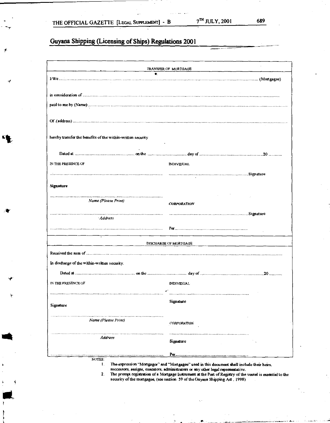-r

Ir

# **Guyana Shipping (Licensing of Ships) Regulations 2001**

|                                                             | TRANSFER OF MORTGAGE  |
|-------------------------------------------------------------|-----------------------|
|                                                             |                       |
|                                                             |                       |
|                                                             |                       |
|                                                             |                       |
|                                                             |                       |
|                                                             |                       |
|                                                             |                       |
|                                                             |                       |
|                                                             |                       |
| hereby transfer the benefits of the within-written security |                       |
|                                                             |                       |
|                                                             |                       |
|                                                             |                       |
| IN THE PRESENCE OF                                          | <b>INDIVIDUAL</b>     |
|                                                             |                       |
|                                                             |                       |
|                                                             |                       |
| <b>Signature</b>                                            |                       |
|                                                             |                       |
| Name (Please Print)                                         |                       |
|                                                             | <b>CORPORATION</b>    |
|                                                             |                       |
| · Address                                                   |                       |
|                                                             |                       |
|                                                             |                       |
|                                                             |                       |
|                                                             | DISCHARGE OF MORTGAGE |
|                                                             |                       |
|                                                             |                       |
| In discharge of the within-written security.                |                       |
|                                                             |                       |
|                                                             |                       |
| IN THE PRESENCE OF                                          | <b>INDIVIDUAL</b>     |
|                                                             |                       |
|                                                             |                       |
| Signature                                                   | Signature             |
|                                                             |                       |
| Name (Please Print)                                         |                       |
|                                                             | <b>CORPORATION</b>    |
|                                                             |                       |
| <b>Address</b>                                              |                       |
|                                                             | Signature             |
|                                                             |                       |
|                                                             |                       |
| NOTES:                                                      |                       |

 $\mathbf{1}$ . The expression "Mortgagor" and "Mortgagee" used in this document shall include their heirs, successors, assigns, executors. administrators or any other legal representative.

2. The prompt registration of a Mortgage Instrument at the Pori of Registry of the vessel is essential to the security of the mortgagee, (see section 59 of the Guyana Shipping Act, 1998)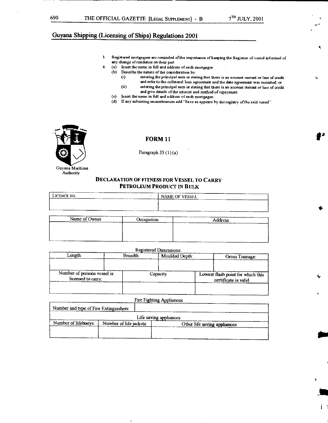٩

# Guyana Shipping (Licensing of Ships) Regulations 2001

- 3. Registered mortgagees are reminded of the importance of keeping the Registrar of vessel informed of any change of residence on their part
- 4. (a) Insert the name in full and address of each mortgagor.
	- (b) Describe the nature of the copsideration by:
		- (i) attiring the principal sum or stating that that is an account curratt or line of credit and refer to the collateral loan agreement and the date agreement was exeatted: or (ii) entering the principal sum or stating that there is an account current or line of credit
		- and give ddails of the interest and method of repayment.
	- (c) Insert the name in full and address of each mortgagee.
	- (d) If any subsisting encumbrances add "Save as appears by the registry of the said vessel".



#### **FORM 11**

Paragraph  $35 (1)(a)$ 

#### Guyana Maritime Authority

#### **DECLARATION OF FITNESS FOR VESSEL TO CARRY PETROLEUM PRODUCT IN BULK**

| LICENCE NO.<br>--<br>------ | -----<br>----<br>NAME OF VESSEL<br>-----<br>__ |
|-----------------------------|------------------------------------------------|
|                             |                                                |
| -- ---                      | ______<br>-----                                |

| Name of Owner<br>______<br>-------- | ----<br>------<br>Occupation<br><b><i><u>Programmation</u></i></b> | -----<br>__________<br>Address<br>______<br>---<br>______<br>________ |
|-------------------------------------|--------------------------------------------------------------------|-----------------------------------------------------------------------|
|                                     |                                                                    |                                                                       |
|                                     |                                                                    |                                                                       |
|                                     |                                                                    |                                                                       |

#### Registered Dimensions:

| Length:                                           | Breadth: | Moulded Depth: | Gross Tonnage:                                            |
|---------------------------------------------------|----------|----------------|-----------------------------------------------------------|
| Number of persons vessel is<br>licensed to carry: |          | Capacity       | Lowest flash point for which this<br>certificate is valid |

|                                                                                  | Fire Fighting Appliances |  |  |
|----------------------------------------------------------------------------------|--------------------------|--|--|
| Number and type of Fire Extinguishers:                                           |                          |  |  |
|                                                                                  | Life saving appliances   |  |  |
| Number of lifebuoys:<br>Number of life jackets:<br>Other life saving appliances: |                          |  |  |
|                                                                                  |                          |  |  |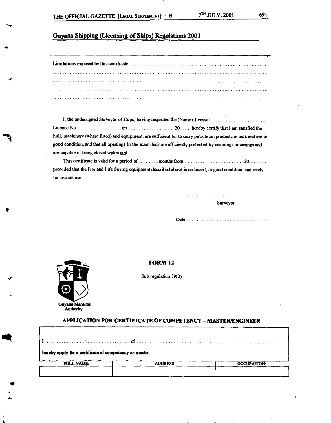I, the undersigned Surveyor of ships, having inspected the (Name of vessel Licence No on 20 hereby certify that I am satisfied the hull, machinery (where fitted) and equipment, are sufficient for to carry petroleum products in bulk and are in good condition, and that all openings in the main deck are efficiently protected by comings or casings and are capable of being closed watertight.

This certificate is valid for a period of months from 20 provided that the Fire and Life Saving equipment described above is on board, in good condition, and ready for instant use.

Surveyor

Date



sok

h.

#### **FORM 12**

Sub-regulation 39(2)

**APPLICATION FOR CERTIFICATE OF COMPETENCY — MASTER/ENGINEER** 

| hereby apply for a certificate of competency as master. |                |                    |  |  |
|---------------------------------------------------------|----------------|--------------------|--|--|
| <b>FULL NAME:</b>                                       | <b>ADDRESS</b> | <b>OCCUPATION:</b> |  |  |
|                                                         |                |                    |  |  |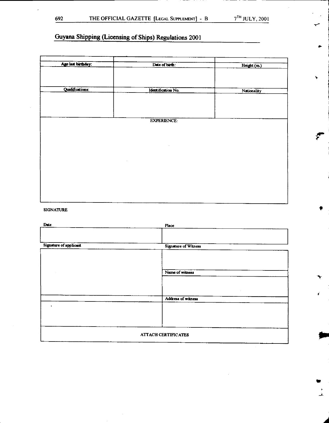st•

1

 $\blacksquare$  $\frac{1}{2}$ 

# Guyana Shipping (Licensing of Ships) Regulations 2001

| Age last birthday:     | Date of birth:     | Height (m.) |
|------------------------|--------------------|-------------|
|                        |                    |             |
|                        |                    |             |
|                        |                    |             |
|                        |                    |             |
| <b>Qualifications:</b> | Identification No. | Nationality |
|                        |                    |             |
|                        |                    |             |
|                        |                    |             |
|                        |                    |             |
|                        |                    |             |
|                        |                    |             |
|                        | <b>EXPERIENCE:</b> |             |
|                        |                    |             |
|                        |                    |             |
|                        |                    |             |
|                        |                    |             |
|                        |                    |             |
|                        |                    |             |
|                        |                    |             |
|                        |                    |             |
|                        |                    |             |
|                        |                    |             |
|                        |                    |             |
|                        |                    |             |
|                        |                    |             |
|                        |                    |             |
|                        |                    |             |
|                        |                    |             |
|                        |                    |             |

### SIGNATURE

| Date                       | Place                |  |
|----------------------------|----------------------|--|
|                            |                      |  |
|                            |                      |  |
| Signature of applicant     | Signature of Witness |  |
|                            |                      |  |
|                            |                      |  |
|                            |                      |  |
|                            | Name of witness      |  |
|                            |                      |  |
|                            |                      |  |
|                            |                      |  |
|                            | Address of witness   |  |
| ٠                          |                      |  |
|                            |                      |  |
|                            |                      |  |
|                            |                      |  |
|                            |                      |  |
| <b>ATTACH CERTIFICATES</b> |                      |  |
|                            |                      |  |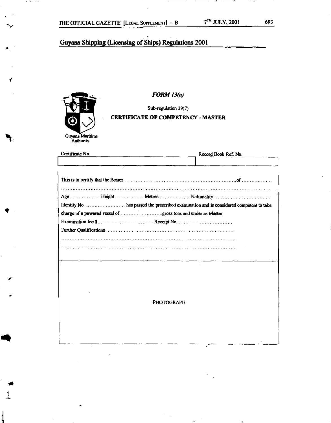

Ar

 $\blacktriangleleft$ 

**FORM 13(a)** 

Sub-regulation 39(7)

#### **CERTIFICATE OF COMPETENCY - MASTER**

| Certificate No. |  |  | Record Book Ref. No. |  |
|-----------------|--|--|----------------------|--|
|                 |  |  |                      |  |
|                 |  |  |                      |  |
|                 |  |  |                      |  |
|                 |  |  |                      |  |
|                 |  |  |                      |  |
|                 |  |  |                      |  |
|                 |  |  |                      |  |
|                 |  |  |                      |  |
|                 |  |  |                      |  |

**PHOTOGRAPH** 

 $\mathbb{R}^2$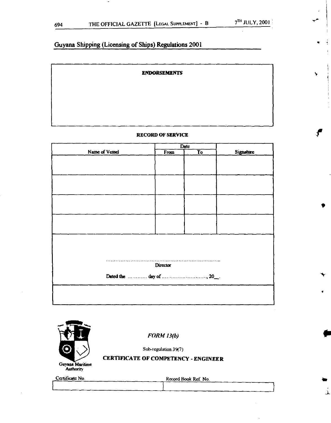#### **ENDORSEMENTS**

#### **RECORD OF SERVICE**

|                | Date     |                        |           |
|----------------|----------|------------------------|-----------|
| Name of Vessel | From     | $\overline{\text{To}}$ | Signature |
|                |          |                        |           |
|                |          |                        |           |
|                |          |                        |           |
|                |          |                        |           |
|                |          |                        |           |
|                |          |                        |           |
|                |          |                        |           |
|                |          |                        |           |
|                |          |                        |           |
|                |          |                        |           |
|                |          |                        |           |
|                |          |                        |           |
|                |          |                        |           |
|                |          |                        |           |
|                |          |                        |           |
|                | Director |                        |           |
|                |          |                        |           |
|                |          |                        |           |
|                |          |                        |           |
|                |          |                        |           |
|                |          |                        |           |



**FORM 13(b)** 

**Sub-regulation 39(7)** 

# **CERTIFICATE OF COMPETENCY - ENGINEER**

**Certificate No.** Record Book Ref. No.

لم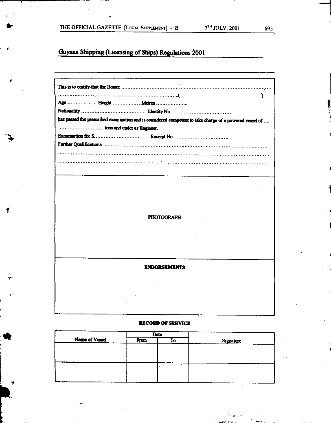$\star$  ,

**Guyana Shipping (Licensing of Ships) Regulations 2001** 

| ١                                                                                                       |
|---------------------------------------------------------------------------------------------------------|
|                                                                                                         |
| has passed the prescribed examination and is considered competent to take charge of a powered vessel of |
| tons and under as Engineer.                                                                             |
|                                                                                                         |
|                                                                                                         |
|                                                                                                         |
|                                                                                                         |
|                                                                                                         |
|                                                                                                         |
|                                                                                                         |
|                                                                                                         |
|                                                                                                         |
| <b>PHOTOGRAPH</b>                                                                                       |
|                                                                                                         |
|                                                                                                         |
|                                                                                                         |
|                                                                                                         |
| <b><i>ENDORSEMENTS</i></b>                                                                              |
|                                                                                                         |
|                                                                                                         |
|                                                                                                         |
|                                                                                                         |

# **RECORD OF SERVICE**

|                | Date |    |           |  |
|----------------|------|----|-----------|--|
| Name of Vessel | From | To | Signature |  |
|                |      |    |           |  |
|                |      |    |           |  |
|                |      |    |           |  |
|                |      |    |           |  |
|                |      |    |           |  |
|                |      |    |           |  |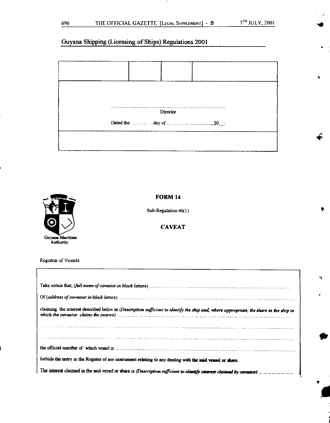**I** 

**4** 

4

**S** 

# Guyana Shipping (Licensing of Ships) Regulations 2001





#### **FORM 14**

Sub-Regulation 46(1)

### **CAVEAT**

Registrar of Vessels

| claiming the interest described below in (Description sufficient to identify the ship and, where appropriate, the share in the ship in |
|----------------------------------------------------------------------------------------------------------------------------------------|
|                                                                                                                                        |
|                                                                                                                                        |
|                                                                                                                                        |
|                                                                                                                                        |
| forbids the entry in the Register of any instrument relating to any dealing with the said vessel or share.                             |
|                                                                                                                                        |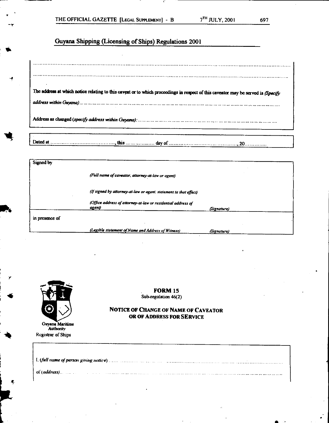| The address at which notice relating to this caveat or to which proceedings in respect of this caveator may be served is (Specify |  |  |
|-----------------------------------------------------------------------------------------------------------------------------------|--|--|
|                                                                                                                                   |  |  |
|                                                                                                                                   |  |  |
|                                                                                                                                   |  |  |

| Signed by      |                                                                        |             |
|----------------|------------------------------------------------------------------------|-------------|
|                | (Full name of caveator, attorney-at-law or agent)                      |             |
|                | (If signed by attorney-at-law or agent, statement ta that effect)      |             |
|                | (Office address of attorney-at-law or residential address of<br>agent) | (Signature) |
| in presence of |                                                                        |             |
|                | (Legible statement of Name and Address of Witness)                     | (Signature) |



**Guyana Maritime Authority Registrar of Ships** 

**FORM 15 Sub-regulation 46(2)** 

### **NOTICE OF CHANGE OF NAME OF CAVEATOR OR OF ADDRESS FOR SERVICE**

| $\downarrow$ of (address). The contraction is a construction of the contraction of the contraction of the contraction of |  |
|--------------------------------------------------------------------------------------------------------------------------|--|

-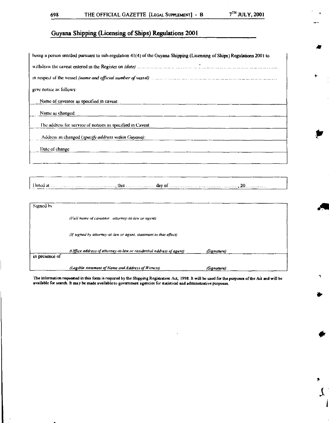$\ddot{\phantom{1}}$ 

p

r

 $\mathfrak l$ 

# Guyana Shipping (Licensing of Ships) Regulations 2001

| being a person entitled pursuant to sub-regulation 41(4) of the Guyana Shipping (Licensing of Ships) Regulations 2001 to    |
|-----------------------------------------------------------------------------------------------------------------------------|
|                                                                                                                             |
| in respect of the vessel (name and official number of vessel) manufactured and contain manufactured in the manufactured and |
| give notice as follows:                                                                                                     |
| Name of caveator as specified in caveat:                                                                                    |
| Name as changed:                                                                                                            |
| The address for service of notices as specified in Caveat:                                                                  |
| Address as changed (specify address within Guyana):                                                                         |
| Date of change:                                                                                                             |
|                                                                                                                             |

Dated at  $\ldots$   $\ldots$   $\ldots$   $\ldots$   $\ldots$   $\ldots$   $\ldots$  this  $\ldots$   $\ldots$   $\ldots$  day of  $\ldots$   $\ldots$   $\ldots$   $\ldots$   $\ldots$   $\ldots$   $\ldots$   $\ldots$ 

| Signed by      |                                                                     |             |  |
|----------------|---------------------------------------------------------------------|-------------|--|
|                | (Full name of caveator, attorney-at-law or agent)                   |             |  |
|                | (if signed by attorney-at-law or agent, statement to that effect)   |             |  |
| in presence of | (Office address of attorney-at-law or residential address af agent) | (Signature) |  |
|                | (Legible statement of Name and Address of Witness)                  | (Signature) |  |

The information requested in this form is required by the Shipping Registration Ad, 1998. It will be used for the purposes of the Aa and will be available for search. It may be made available to government agencies for statistical and administrative purposes.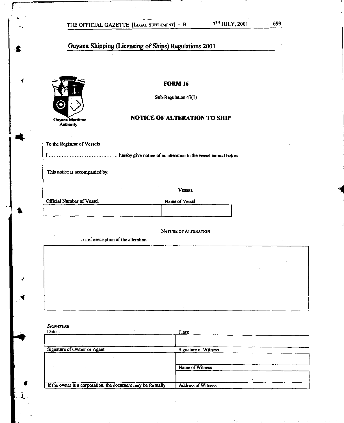

∢

**FORM 16** 

Sub-Regulation 47(1)

### **NOTICE OF ALTERATION TO SHIP**

To the Registrar of Vessels

I hereby give notice of an alteration to the vessel named below.

This notice is accompanied by:

VESSEL

| Official Number of Vessel | Name of Vessel |
|---------------------------|----------------|
|                           |                |
|                           |                |

. NATURE OF ALTERATION

Brief description of the alteration

|                             | Name of Witness             |
|-----------------------------|-----------------------------|
| Signature of Owner or Agent | <b>Signature of Witness</b> |
| <b>SIGNATURE</b><br>Date    | Place                       |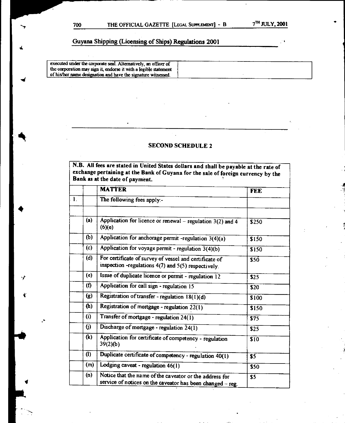executed under the corporate seal. Alternatively, an officer of the corporation may sign it, endorse it with a legible statement of his/her name designation and have the signature witnessed.

# **SECOND SCHEDULE 2**

**N.B. All fees are stated in United States dollars and shall be payable at the rate of exchange pertaining at the Bank of Guyana for the sale of foreign currency by the Bank as at the date of payment.** 

|                |                   | <b>MATTER</b>                                                                                                         | <b>FEE</b> |
|----------------|-------------------|-----------------------------------------------------------------------------------------------------------------------|------------|
| $\mathbf{l}$ . |                   | The following fees apply:-                                                                                            |            |
|                |                   |                                                                                                                       |            |
|                | (a)               | Application for licence or renewal – regulation $3(2)$ and 4<br>(6)(e)                                                | \$250      |
|                | (b)               | Application for anchorage permit -regulation $3(4)(a)$                                                                | \$150      |
|                | (c)               | Application for voyage permit - regulation 3(4)(b)                                                                    | \$150      |
|                | (d)               | For certificate of survey of vessel and certificate of<br>inspection -regulations 4(7) and 5(5) respectively.         | \$50       |
|                | (e)               | Issue of duplicate licence or permit - regulation 12                                                                  | \$25       |
|                | (f)               | Application for call sign - regulation 15                                                                             | \$20       |
|                | (g)               | Registration of transfer - regulation $18(1)(d)$                                                                      | \$100      |
|                | (h)               | Registration of mortgage - regulation 22(1)                                                                           | s150       |
|                | $\left( i\right)$ | Transfer of mortgage - regulation 24(1)                                                                               | 575        |
|                | (j)               | Discharge of mortgage - regulation 24(1)                                                                              | \$25       |
|                | (k)               | Application for certificate of competency - regulation<br>39(2)(b)                                                    | \$10       |
|                | $\left( 1\right)$ | Duplicate certificate of competency - regulation $\overline{40}(1)$                                                   | \$5        |
|                | (m)               | Lodging caveat - regulation 46(1)                                                                                     | \$50       |
|                | (n)               | Notice that the name of the caveator or the address for<br>service of notices on the caveator has been changed - reg. | \$5        |